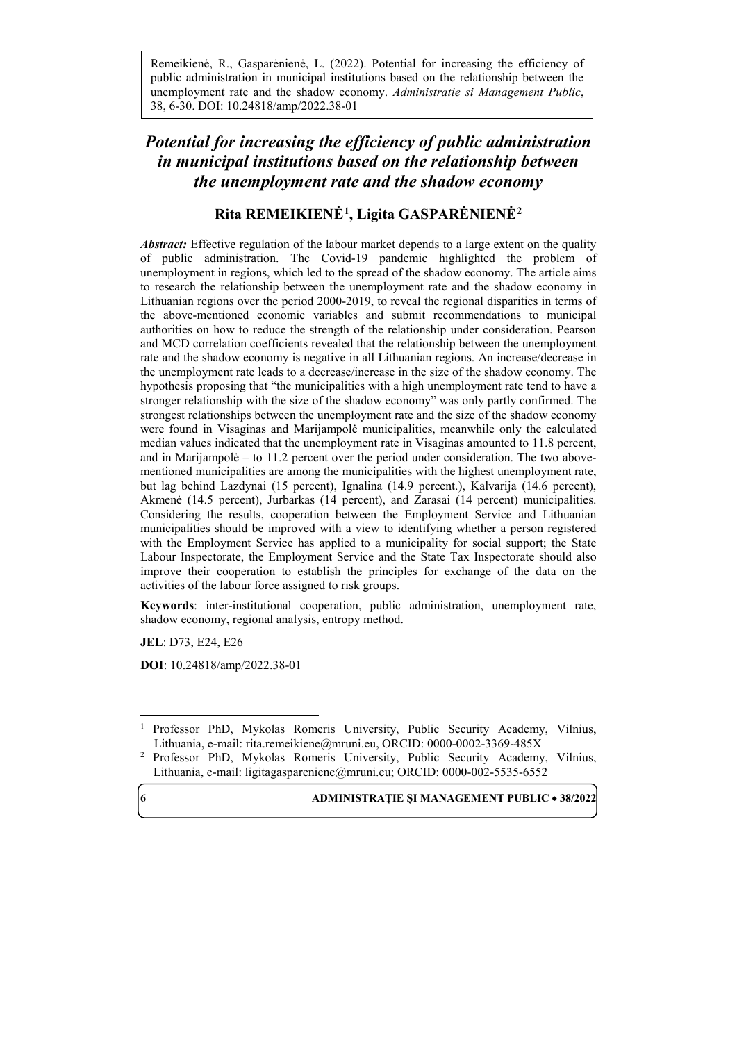Remeikienė, R., Gasparėnienė, L. (2022). Potential for increasing the efficiency of public administration in municipal institutions based on the relationship between the unemployment rate and the shadow economy. *Administratie si Management Public*, 38, 6-30. DOI: 10.24818/amp/2022.38-01

# *Potential for increasing the efficiency of public administration in municipal institutions based on the relationship between the unemployment rate and the shadow economy*

# **Rita REMEIKIENĖ[1](#page-0-0), Ligita GASPARĖNIENĖ[2](#page-0-1)**

*Abstract:* Effective regulation of the labour market depends to a large extent on the quality of public administration. The Covid-19 pandemic highlighted the problem of unemployment in regions, which led to the spread of the shadow economy. The article aims to research the relationship between the unemployment rate and the shadow economy in Lithuanian regions over the period 2000-2019, to reveal the regional disparities in terms of the above-mentioned economic variables and submit recommendations to municipal authorities on how to reduce the strength of the relationship under consideration. Pearson and MCD correlation coefficients revealed that the relationship between the unemployment rate and the shadow economy is negative in all Lithuanian regions. An increase/decrease in the unemployment rate leads to a decrease/increase in the size of the shadow economy. The hypothesis proposing that "the municipalities with a high unemployment rate tend to have a stronger relationship with the size of the shadow economy" was only partly confirmed. The strongest relationships between the unemployment rate and the size of the shadow economy were found in Visaginas and Marijampolė municipalities, meanwhile only the calculated median values indicated that the unemployment rate in Visaginas amounted to 11.8 percent, and in Marijampolė – to 11.2 percent over the period under consideration. The two abovementioned municipalities are among the municipalities with the highest unemployment rate, but lag behind Lazdynai (15 percent), Ignalina (14.9 percent.), Kalvarija (14.6 percent), Akmenė (14.5 percent), Jurbarkas (14 percent), and Zarasai (14 percent) municipalities. Considering the results, cooperation between the Employment Service and Lithuanian municipalities should be improved with a view to identifying whether a person registered with the Employment Service has applied to a municipality for social support; the State Labour Inspectorate, the Employment Service and the State Tax Inspectorate should also improve their cooperation to establish the principles for exchange of the data on the activities of the labour force assigned to risk groups.

**Keywords**: inter-institutional cooperation, public administration, unemployment rate, shadow economy, regional analysis, entropy method.

**JEL**: D73, E24, E26

 $\overline{\phantom{a}}$ 

**DOI**: 10.24818/amp/2022.38-01

<span id="page-0-0"></span><sup>1</sup> Professor PhD, Mykolas Romeris University, Public Security Academy, Vilnius, Lithuania, e-mail[: rita.remeikiene@mruni.eu,](mailto:rita.remeikiene@mruni.eu) ORCID: 0000-0002-3369-485X

<span id="page-0-1"></span><sup>2</sup> Professor PhD, Mykolas Romeris University, Public Security Academy, Vilnius, Lithuania, e-mail: ligitagaspareniene@mruni.eu; ORCID: 0000-002-5535-6552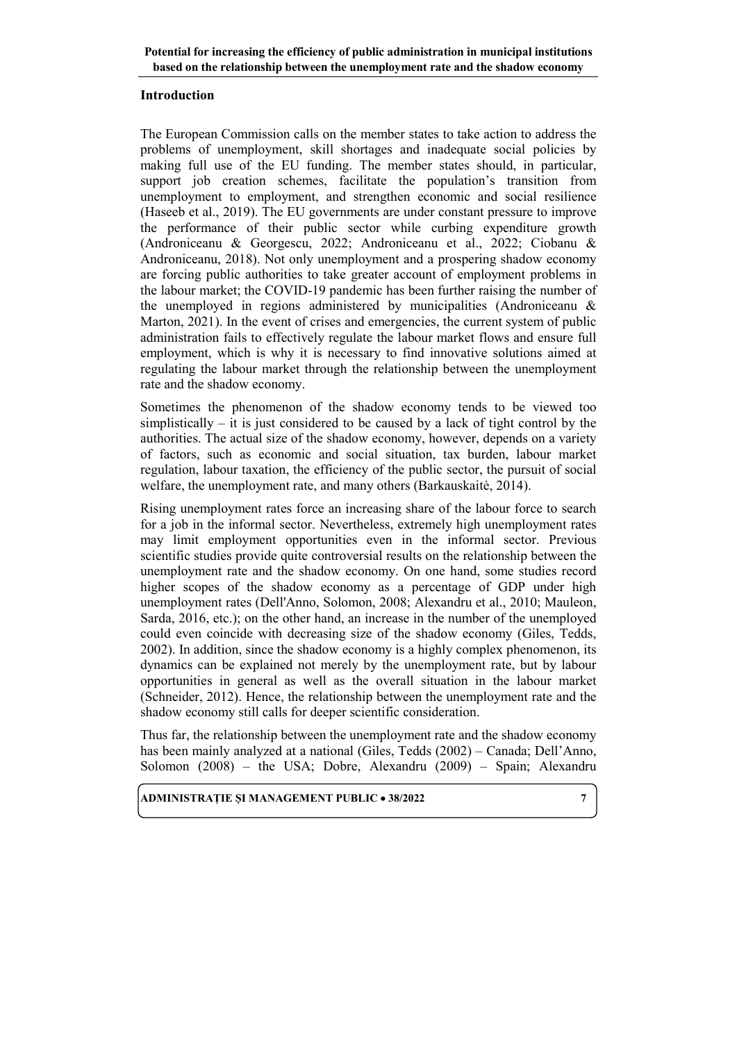### **Introduction**

The European Commission calls on the member states to take action to address the problems of unemployment, skill shortages and inadequate social policies by making full use of the EU funding. The member states should, in particular, support job creation schemes, facilitate the population's transition from unemployment to employment, and strengthen economic and social resilience (Haseeb et al., 2019). The EU governments are under constant pressure to improve the performance of their public sector while curbing expenditure growth (Androniceanu & Georgescu, 2022; Androniceanu et al., 2022; Ciobanu & Androniceanu, 2018). Not only unemployment and a prospering shadow economy are forcing public authorities to take greater account of employment problems in the labour market; the COVID-19 pandemic has been further raising the number of the unemployed in regions administered by municipalities (Androniceanu & Marton, 2021). In the event of crises and emergencies, the current system of public administration fails to effectively regulate the labour market flows and ensure full employment, which is why it is necessary to find innovative solutions aimed at regulating the labour market through the relationship between the unemployment rate and the shadow economy.

Sometimes the phenomenon of the shadow economy tends to be viewed too simplistically  $-$  it is just considered to be caused by a lack of tight control by the authorities. The actual size of the shadow economy, however, depends on a variety of factors, such as economic and social situation, tax burden, labour market regulation, labour taxation, the efficiency of the public sector, the pursuit of social welfare, the unemployment rate, and many others (Barkauskaitė, 2014).

Rising unemployment rates force an increasing share of the labour force to search for a job in the informal sector. Nevertheless, extremely high unemployment rates may limit employment opportunities even in the informal sector. Previous scientific studies provide quite controversial results on the relationship between the unemployment rate and the shadow economy. On one hand, some studies record higher scopes of the shadow economy as a percentage of GDP under high unemployment rates (Dell'Anno, Solomon, 2008; Alexandru et al., 2010; Mauleon, Sarda, 2016, etc.); on the other hand, an increase in the number of the unemployed could even coincide with decreasing size of the shadow economy (Giles, Tedds, 2002). In addition, since the shadow economy is a highly complex phenomenon, its dynamics can be explained not merely by the unemployment rate, but by labour opportunities in general as well as the overall situation in the labour market (Schneider, 2012). Hence, the relationship between the unemployment rate and the shadow economy still calls for deeper scientific consideration.

Thus far, the relationship between the unemployment rate and the shadow economy has been mainly analyzed at a national (Giles, Tedds (2002) – Canada; Dell'Anno, Solomon (2008) – the USA; Dobre, Alexandru (2009) – Spain; Alexandru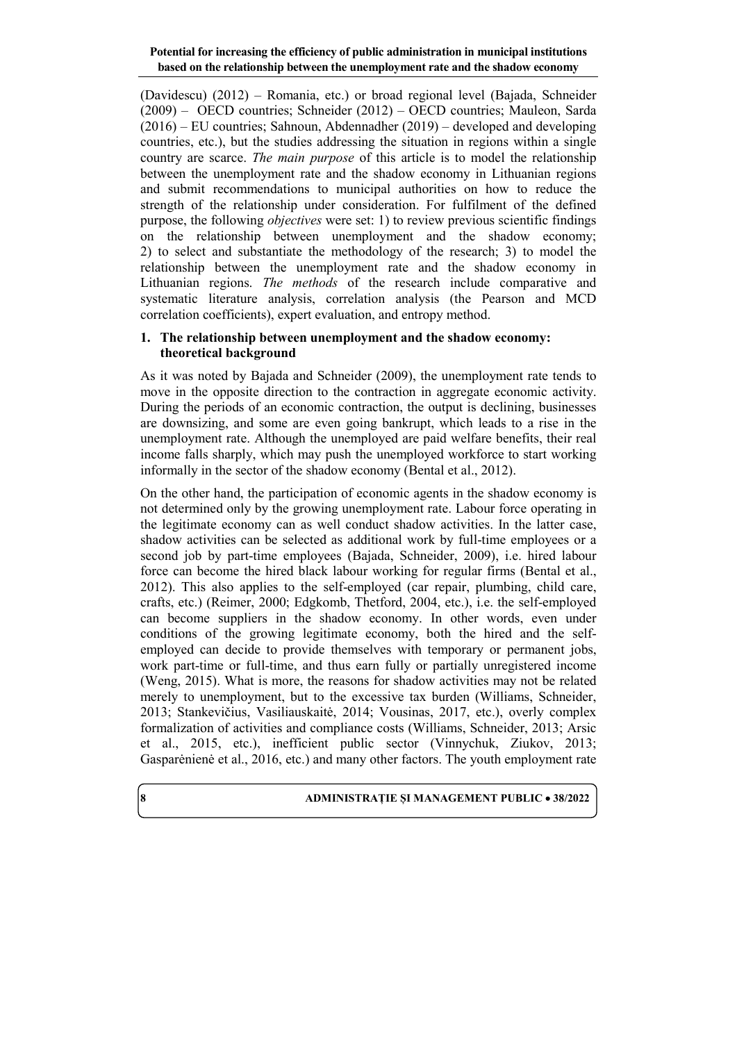(Davidescu) (2012) – Romania, etc.) or broad regional level (Bajada, Schneider (2009) – OECD countries; Schneider (2012) – OECD countries; Mauleon, Sarda (2016) – EU countries; Sahnoun, Abdennadher (2019) – developed and developing countries, etc.), but the studies addressing the situation in regions within a single country are scarce. *The main purpose* of this article is to model the relationship between the unemployment rate and the shadow economy in Lithuanian regions and submit recommendations to municipal authorities on how to reduce the strength of the relationship under consideration. For fulfilment of the defined purpose, the following *objectives* were set: 1) to review previous scientific findings on the relationship between unemployment and the shadow economy; 2) to select and substantiate the methodology of the research; 3) to model the relationship between the unemployment rate and the shadow economy in Lithuanian regions. *The methods* of the research include comparative and systematic literature analysis, correlation analysis (the Pearson and MCD correlation coefficients), expert evaluation, and entropy method.

### **1. The relationship between unemployment and the shadow economy: theoretical background**

As it was noted by Bajada and Schneider (2009), the unemployment rate tends to move in the opposite direction to the contraction in aggregate economic activity. During the periods of an economic contraction, the output is declining, businesses are downsizing, and some are even going bankrupt, which leads to a rise in the unemployment rate. Although the unemployed are paid welfare benefits, their real income falls sharply, which may push the unemployed workforce to start working informally in the sector of the shadow economy (Bental et al., 2012).

On the other hand, the participation of economic agents in the shadow economy is not determined only by the growing unemployment rate. Labour force operating in the legitimate economy can as well conduct shadow activities. In the latter case, shadow activities can be selected as additional work by full-time employees or a second job by part-time employees (Bajada, Schneider, 2009), i.e. hired labour force can become the hired black labour working for regular firms (Bental et al., 2012). This also applies to the self-employed (car repair, plumbing, child care, crafts, etc.) (Reimer, 2000; Edgkomb, Thetford, 2004, etc.), i.e. the self-employed can become suppliers in the shadow economy. In other words, even under conditions of the growing legitimate economy, both the hired and the selfemployed can decide to provide themselves with temporary or permanent jobs, work part-time or full-time, and thus earn fully or partially unregistered income (Weng, 2015). What is more, the reasons for shadow activities may not be related merely to unemployment, but to the excessive tax burden (Williams, Schneider, 2013; Stankevičius, Vasiliauskaitė, 2014; Vousinas, 2017, etc.), overly complex formalization of activities and compliance costs (Williams, Schneider, 2013; Arsic et al., 2015, etc.), inefficient public sector (Vinnychuk, Ziukov, 2013; Gasparėnienė et al., 2016, etc.) and many other factors. The youth employment rate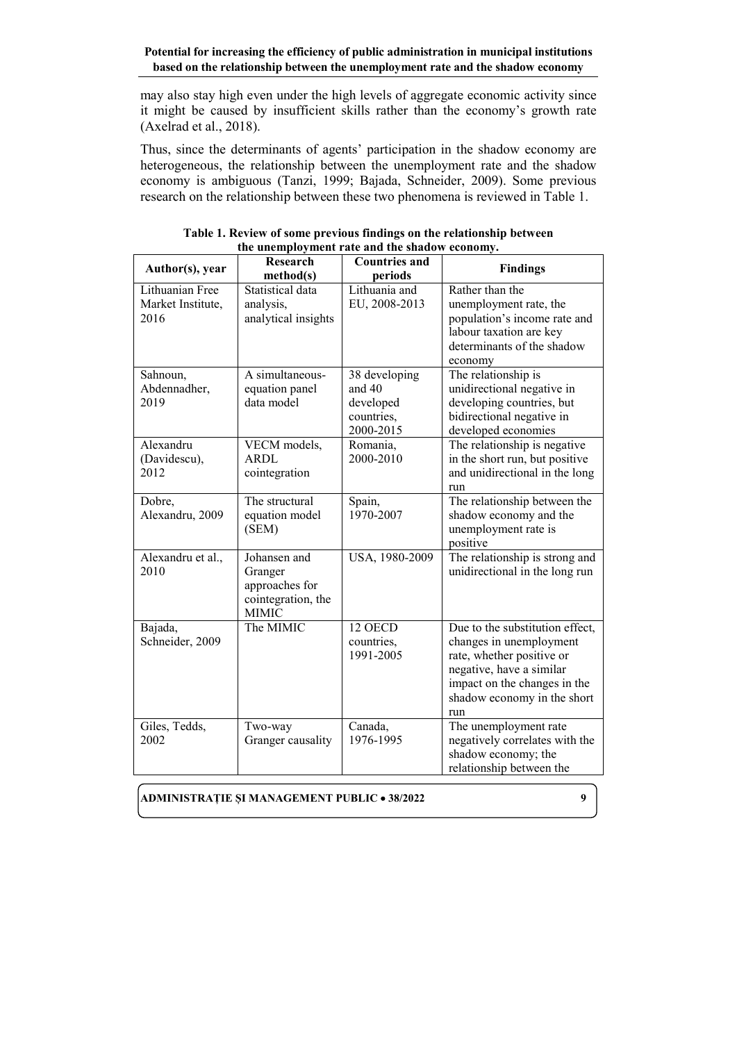may also stay high even under the high levels of aggregate economic activity since it might be caused by insufficient skills rather than the economy's growth rate (Axelrad et al., 2018).

Thus, since the determinants of agents' participation in the shadow economy are heterogeneous, the relationship between the unemployment rate and the shadow economy is ambiguous (Tanzi, 1999; Bajada, Schneider, 2009). Some previous research on the relationship between these two phenomena is reviewed in Table 1.

| Author(s), year                              | <b>Research</b><br>method(s)                                                    | <b>Countries and</b><br>periods                                   | <b>Findings</b>                                                                                                                                                                           |
|----------------------------------------------|---------------------------------------------------------------------------------|-------------------------------------------------------------------|-------------------------------------------------------------------------------------------------------------------------------------------------------------------------------------------|
| Lithuanian Free<br>Market Institute,<br>2016 | Statistical data<br>analysis,<br>analytical insights                            | Lithuania and<br>EU, 2008-2013                                    | Rather than the<br>unemployment rate, the<br>population's income rate and<br>labour taxation are key<br>determinants of the shadow<br>economy                                             |
| Sahnoun,<br>Abdennadher,<br>2019             | A simultaneous-<br>equation panel<br>data model                                 | 38 developing<br>and $40$<br>developed<br>countries,<br>2000-2015 | The relationship is<br>unidirectional negative in<br>developing countries, but<br>bidirectional negative in<br>developed economies                                                        |
| Alexandru<br>(Davidescu),<br>2012            | VECM models,<br>ARDL<br>cointegration                                           | Romania,<br>2000-2010                                             | The relationship is negative<br>in the short run, but positive<br>and unidirectional in the long<br>run                                                                                   |
| Dobre,<br>Alexandru, 2009                    | The structural<br>equation model<br>(SEM)                                       | Spain,<br>1970-2007                                               | The relationship between the<br>shadow economy and the<br>unemployment rate is<br>positive                                                                                                |
| Alexandru et al.,<br>2010                    | Johansen and<br>Granger<br>approaches for<br>cointegration, the<br><b>MIMIC</b> | USA, 1980-2009                                                    | The relationship is strong and<br>unidirectional in the long run                                                                                                                          |
| Bajada,<br>Schneider, 2009                   | The MIMIC                                                                       | 12 OECD<br>countries,<br>1991-2005                                | Due to the substitution effect,<br>changes in unemployment<br>rate, whether positive or<br>negative, have a similar<br>impact on the changes in the<br>shadow economy in the short<br>run |
| Giles, Tedds,<br>2002                        | Two-way<br>Granger causality                                                    | Canada,<br>1976-1995                                              | The unemployment rate<br>negatively correlates with the<br>shadow economy; the<br>relationship between the                                                                                |

| Table 1. Review of some previous findings on the relationship between |  |  |  |  |  |
|-----------------------------------------------------------------------|--|--|--|--|--|
| the unemployment rate and the shadow economy.                         |  |  |  |  |  |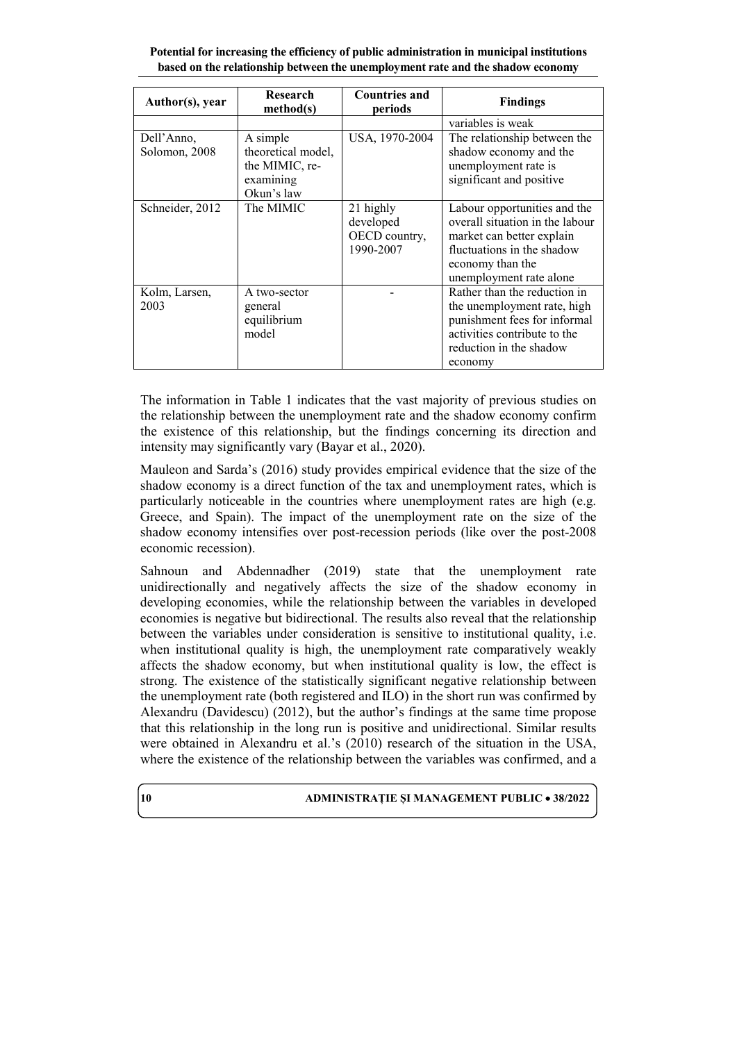| Author(s), year             | Research<br>method(s)                                                       | <b>Countries and</b><br>periods                      | <b>Findings</b>                                                                                                                                                           |
|-----------------------------|-----------------------------------------------------------------------------|------------------------------------------------------|---------------------------------------------------------------------------------------------------------------------------------------------------------------------------|
|                             |                                                                             |                                                      | variables is weak                                                                                                                                                         |
| Dell'Anno,<br>Solomon, 2008 | A simple<br>theoretical model,<br>the MIMIC, re-<br>examining<br>Okun's law | USA, 1970-2004                                       | The relationship between the<br>shadow economy and the<br>unemployment rate is<br>significant and positive                                                                |
| Schneider, 2012             | The MIMIC                                                                   | 21 highly<br>developed<br>OECD country,<br>1990-2007 | Labour opportunities and the<br>overall situation in the labour<br>market can better explain<br>fluctuations in the shadow<br>economy than the<br>unemployment rate alone |
| Kolm, Larsen,<br>2003       | A two-sector<br>general<br>equilibrium<br>model                             |                                                      | Rather than the reduction in<br>the unemployment rate, high<br>punishment fees for informal<br>activities contribute to the<br>reduction in the shadow<br>economy         |

The information in Table 1 indicates that the vast majority of previous studies on the relationship between the unemployment rate and the shadow economy confirm the existence of this relationship, but the findings concerning its direction and intensity may significantly vary (Bayar et al., 2020).

Mauleon and Sarda's (2016) study provides empirical evidence that the size of the shadow economy is a direct function of the tax and unemployment rates, which is particularly noticeable in the countries where unemployment rates are high (e.g. Greece, and Spain). The impact of the unemployment rate on the size of the shadow economy intensifies over post-recession periods (like over the post-2008 economic recession).

Sahnoun and Abdennadher (2019) state that the unemployment rate unidirectionally and negatively affects the size of the shadow economy in developing economies, while the relationship between the variables in developed economies is negative but bidirectional. The results also reveal that the relationship between the variables under consideration is sensitive to institutional quality, i.e. when institutional quality is high, the unemployment rate comparatively weakly affects the shadow economy, but when institutional quality is low, the effect is strong. The existence of the statistically significant negative relationship between the unemployment rate (both registered and ILO) in the short run was confirmed by Alexandru (Davidescu) (2012), but the author's findings at the same time propose that this relationship in the long run is positive and unidirectional. Similar results were obtained in Alexandru et al.'s (2010) research of the situation in the USA, where the existence of the relationship between the variables was confirmed, and a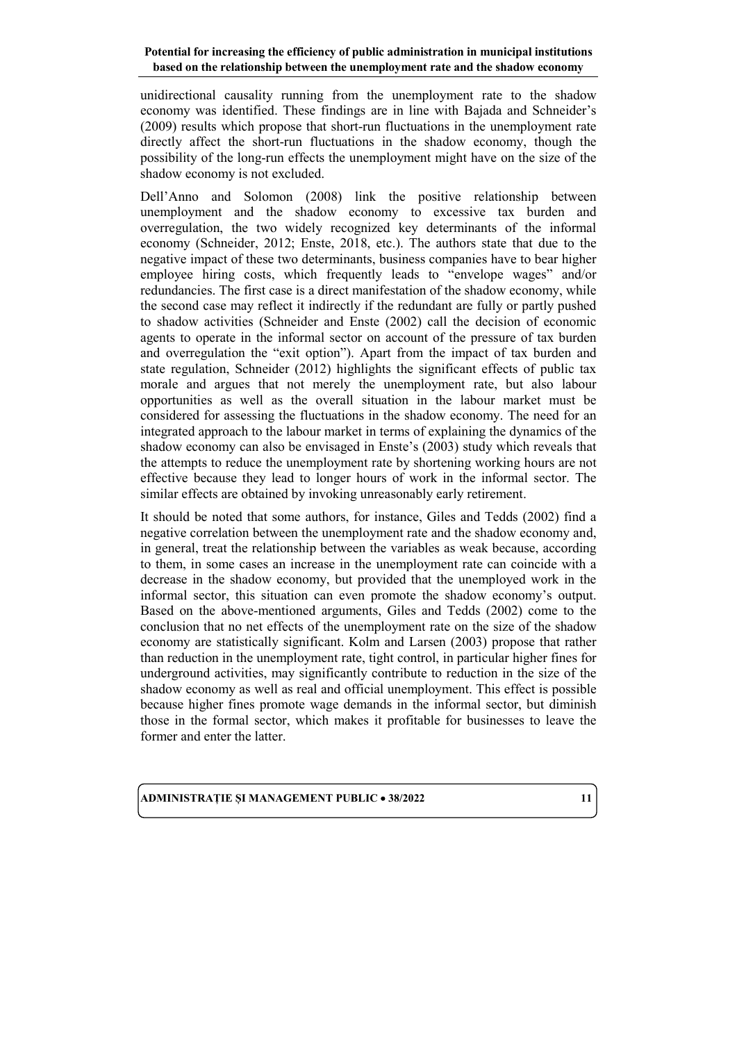unidirectional causality running from the unemployment rate to the shadow economy was identified. These findings are in line with Bajada and Schneider's (2009) results which propose that short-run fluctuations in the unemployment rate directly affect the short-run fluctuations in the shadow economy, though the possibility of the long-run effects the unemployment might have on the size of the shadow economy is not excluded.

Dell'Anno and Solomon (2008) link the positive relationship between unemployment and the shadow economy to excessive tax burden and overregulation, the two widely recognized key determinants of the informal economy (Schneider, 2012; Enste, 2018, etc.). The authors state that due to the negative impact of these two determinants, business companies have to bear higher employee hiring costs, which frequently leads to "envelope wages" and/or redundancies. The first case is a direct manifestation of the shadow economy, while the second case may reflect it indirectly if the redundant are fully or partly pushed to shadow activities (Schneider and Enste (2002) call the decision of economic agents to operate in the informal sector on account of the pressure of tax burden and overregulation the "exit option"). Apart from the impact of tax burden and state regulation, Schneider (2012) highlights the significant effects of public tax morale and argues that not merely the unemployment rate, but also labour opportunities as well as the overall situation in the labour market must be considered for assessing the fluctuations in the shadow economy. The need for an integrated approach to the labour market in terms of explaining the dynamics of the shadow economy can also be envisaged in Enste's (2003) study which reveals that the attempts to reduce the unemployment rate by shortening working hours are not effective because they lead to longer hours of work in the informal sector. The similar effects are obtained by invoking unreasonably early retirement.

It should be noted that some authors, for instance, Giles and Tedds (2002) find a negative correlation between the unemployment rate and the shadow economy and, in general, treat the relationship between the variables as weak because, according to them, in some cases an increase in the unemployment rate can coincide with a decrease in the shadow economy, but provided that the unemployed work in the informal sector, this situation can even promote the shadow economy's output. Based on the above-mentioned arguments, Giles and Tedds (2002) come to the conclusion that no net effects of the unemployment rate on the size of the shadow economy are statistically significant. Kolm and Larsen (2003) propose that rather than reduction in the unemployment rate, tight control, in particular higher fines for underground activities, may significantly contribute to reduction in the size of the shadow economy as well as real and official unemployment. This effect is possible because higher fines promote wage demands in the informal sector, but diminish those in the formal sector, which makes it profitable for businesses to leave the former and enter the latter.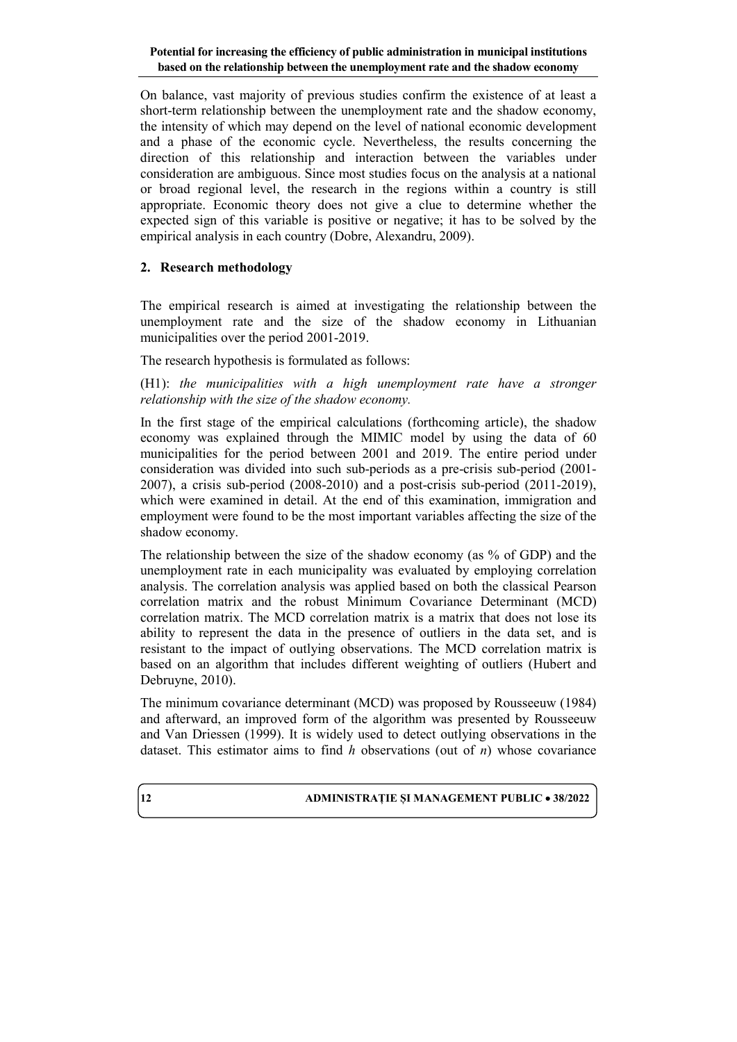On balance, vast majority of previous studies confirm the existence of at least a short-term relationship between the unemployment rate and the shadow economy, the intensity of which may depend on the level of national economic development and a phase of the economic cycle. Nevertheless, the results concerning the direction of this relationship and interaction between the variables under consideration are ambiguous. Since most studies focus on the analysis at a national or broad regional level, the research in the regions within a country is still appropriate. Economic theory does not give a clue to determine whether the expected sign of this variable is positive or negative; it has to be solved by the empirical analysis in each country (Dobre, Alexandru, 2009).

# **2. Research methodology**

The empirical research is aimed at investigating the relationship between the unemployment rate and the size of the shadow economy in Lithuanian municipalities over the period 2001-2019.

The research hypothesis is formulated as follows:

(H1): *the municipalities with a high unemployment rate have a stronger relationship with the size of the shadow economy.*

In the first stage of the empirical calculations (forthcoming article), the shadow economy was explained through the MIMIC model by using the data of 60 municipalities for the period between 2001 and 2019. The entire period under consideration was divided into such sub-periods as a pre-crisis sub-period (2001-2007), a crisis sub-period (2008-2010) and a post-crisis sub-period (2011-2019), which were examined in detail. At the end of this examination, immigration and employment were found to be the most important variables affecting the size of the shadow economy.

The relationship between the size of the shadow economy (as % of GDP) and the unemployment rate in each municipality was evaluated by employing correlation analysis. The correlation analysis was applied based on both the classical Pearson correlation matrix and the robust Minimum Covariance Determinant (MCD) correlation matrix. The MCD correlation matrix is a matrix that does not lose its ability to represent the data in the presence of outliers in the data set, and is resistant to the impact of outlying observations. The MCD correlation matrix is based on an algorithm that includes different weighting of outliers (Hubert and Debruyne, 2010).

The minimum covariance determinant (MCD) was proposed by Rousseeuw (1984) and afterward, an improved form of the algorithm was presented by Rousseeuw and Van Driessen (1999). It is widely used to detect outlying observations in the dataset. This estimator aims to find *h* observations (out of *n*) whose covariance

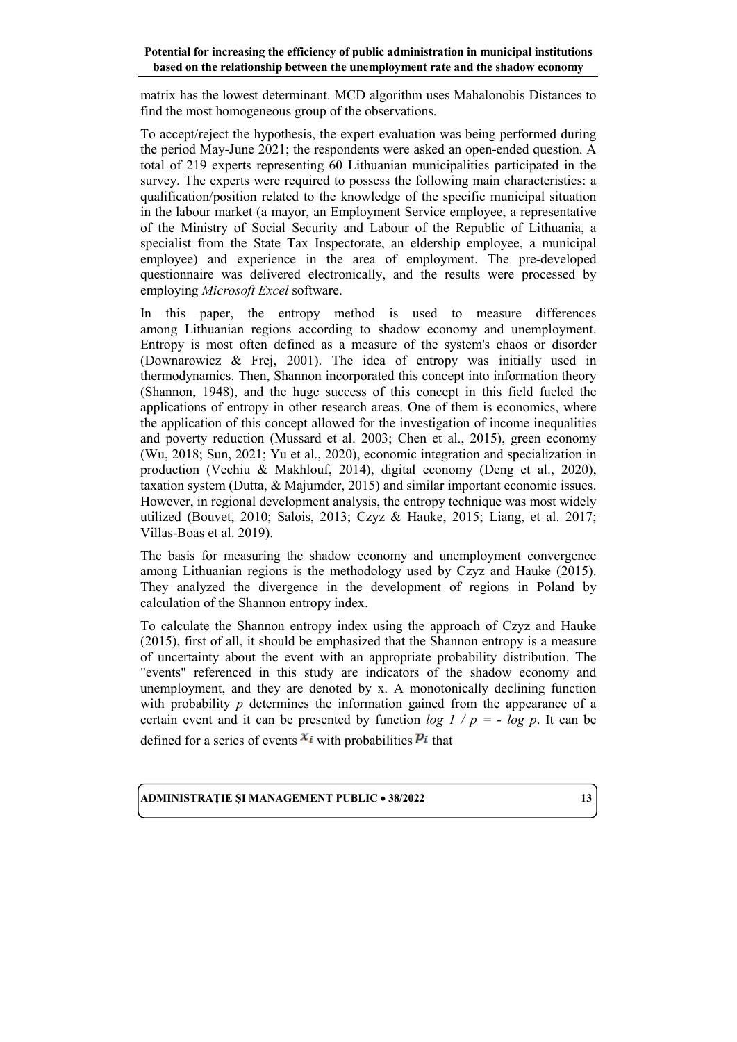matrix has the lowest determinant. MCD algorithm uses Mahalonobis Distances to find the most homogeneous group of the observations.

To accept/reject the hypothesis, the expert evaluation was being performed during the period May-June 2021; the respondents were asked an open-ended question. A total of 219 experts representing 60 Lithuanian municipalities participated in the survey. The experts were required to possess the following main characteristics: a qualification/position related to the knowledge of the specific municipal situation in the labour market (a mayor, an Employment Service employee, a representative of the Ministry of Social Security and Labour of the Republic of Lithuania, a specialist from the State Tax Inspectorate, an eldership employee, a municipal employee) and experience in the area of employment. The pre-developed questionnaire was delivered electronically, and the results were processed by employing *Microsoft Excel* software.

In this paper, the entropy method is used to measure differences among Lithuanian regions according to shadow economy and unemployment. Entropy is most often defined as a measure of the system's chaos or disorder (Downarowicz & Frej, 2001). The idea of entropy was initially used in thermodynamics. Then, Shannon incorporated this concept into information theory (Shannon, 1948), and the huge success of this concept in this field fueled the applications of entropy in other research areas. One of them is economics, where the application of this concept allowed for the investigation of income inequalities and poverty reduction (Mussard et al. 2003; Chen et al., 2015), green economy (Wu, 2018; Sun, 2021; Yu et al., 2020), economic integration and specialization in production (Vechiu & Makhlouf, 2014), digital economy (Deng et al., 2020), taxation system (Dutta, & Majumder, 2015) and similar important economic issues. However, in regional development analysis, the entropy technique was most widely utilized (Bouvet, 2010; Salois, 2013; Czyz & Hauke, 2015; Liang, et al. 2017; Villas-Boas et al. 2019).

The basis for measuring the shadow economy and unemployment convergence among Lithuanian regions is the methodology used by Czyz and Hauke (2015). They analyzed the divergence in the development of regions in Poland by calculation of the Shannon entropy index.

To calculate the Shannon entropy index using the approach of Czyz and Hauke (2015), first of all, it should be emphasized that the Shannon entropy is a measure of uncertainty about the event with an appropriate probability distribution. The "events" referenced in this study are indicators of the shadow economy and unemployment, and they are denoted by x. A monotonically declining function with probability *p* determines the information gained from the appearance of a certain event and it can be presented by function  $log l / p = - log p$ . It can be

defined for a series of events  $x_i$  with probabilities  $P_i$  that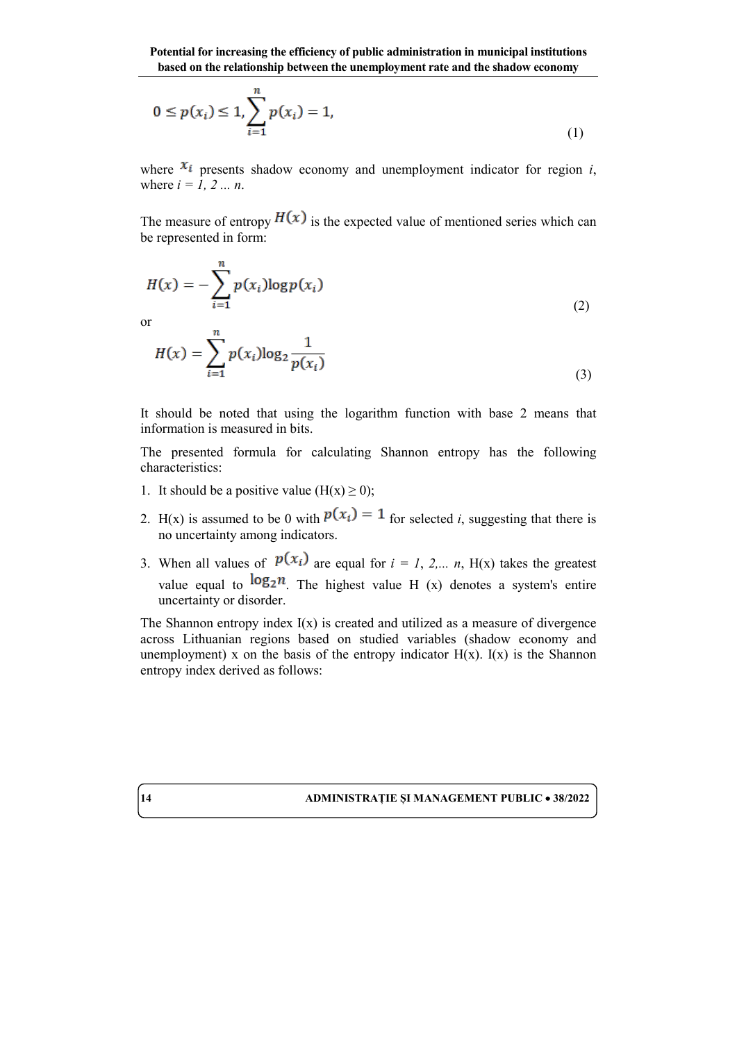$$
0 \le p(x_i) \le 1, \sum_{i=1}^{n} p(x_i) = 1,
$$
\n(1)

where  $x_i$  presents shadow economy and unemployment indicator for region *i*, where *i = 1, 2 ... n*.

The measure of entropy  $H(x)$  is the expected value of mentioned series which can be represented in form:

$$
H(x) = -\sum_{i=1}^{n} p(x_i) \log p(x_i)
$$
\nor

\n
$$
n \tag{2}
$$

 $\overline{O}$ 

$$
H(x) = \sum_{i=1}^{n} p(x_i) \log_2 \frac{1}{p(x_i)}
$$
\n(3)

It should be noted that using the logarithm function with base 2 means that information is measured in bits.

The presented formula for calculating Shannon entropy has the following characteristics:

- 1. It should be a positive value  $(H(x) \ge 0)$ ;
- 2. H(x) is assumed to be 0 with  $p(x_i) = 1$  for selected *i*, suggesting that there is no uncertainty among indicators.
- 3. When all values of  $p(x_i)$  are equal for  $i = 1, 2,..., n$ , H(x) takes the greatest value equal to  $\log_2 n$ . The highest value H (x) denotes a system's entire uncertainty or disorder.

The Shannon entropy index  $I(x)$  is created and utilized as a measure of divergence across Lithuanian regions based on studied variables (shadow economy and unemployment) x on the basis of the entropy indicator  $H(x)$ . I(x) is the Shannon entropy index derived as follows: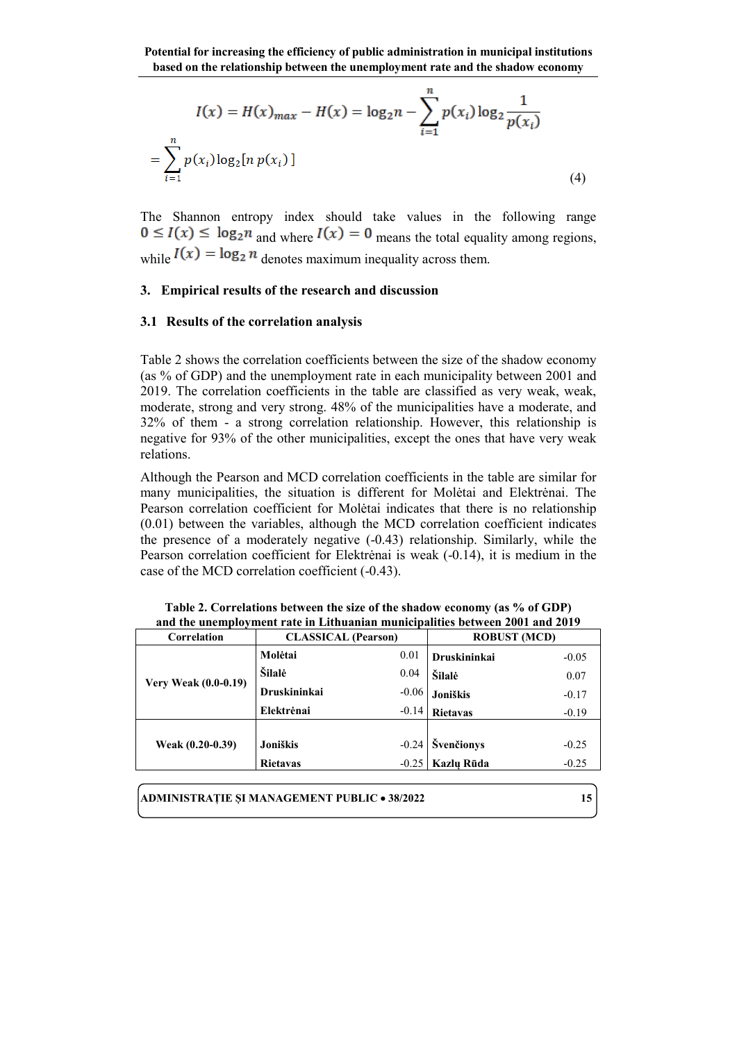$$
I(x) = H(x)_{max} - H(x) = \log_2 n - \sum_{i=1}^{n} p(x_i) \log_2 \frac{1}{p(x_i)}
$$
  
= 
$$
\sum_{i=1}^{n} p(x_i) \log_2 [n p(x_i)]
$$
 (4)

The Shannon entropy index should take values in the following range  $0 \le I(x) \le \log_2 n$  and where  $I(x) = 0$  means the total equality among regions, while  $I(x) = \log_2 n$  denotes maximum inequality across them.

### **3. Empirical results of the research and discussion**

### **3.1 Results of the correlation analysis**

Table 2 shows the correlation coefficients between the size of the shadow economy (as % of GDP) and the unemployment rate in each municipality between 2001 and 2019. The correlation coefficients in the table are classified as very weak, weak, moderate, strong and very strong. 48% of the municipalities have a moderate, and 32% of them - a strong correlation relationship. However, this relationship is negative for 93% of the other municipalities, except the ones that have very weak relations.

Although the Pearson and MCD correlation coefficients in the table are similar for many municipalities, the situation is different for Molėtai and Elektrėnai. The Pearson correlation coefficient for Molėtai indicates that there is no relationship (0.01) between the variables, although the MCD correlation coefficient indicates the presence of a moderately negative (-0.43) relationship. Similarly, while the Pearson correlation coefficient for Elektrėnai is weak (-0.14), it is medium in the case of the MCD correlation coefficient (-0.43).

| Correlation                 | <b>CLASSICAL</b> (Pearson) |         | <b>ROBUST (MCD)</b> |         |
|-----------------------------|----------------------------|---------|---------------------|---------|
| <b>Very Weak (0.0-0.19)</b> | Molėtai                    | 0.01    | Druskininkai        | $-0.05$ |
|                             | Šilalė                     | 0.04    | Šilalė              | 0.07    |
|                             | <b>Druskininkai</b>        | $-0.06$ | Joniškis            | $-0.17$ |
|                             | Elektrėnai                 | $-0.14$ | <b>Rietavas</b>     | $-0.19$ |
|                             |                            |         |                     |         |
| Weak (0.20-0.39)            | Joniškis                   |         | $-0.24$ Svenčionys  | $-0.25$ |
|                             | <b>Rietavas</b>            |         | $-0.25$ Kazlu Rūda  | $-0.25$ |

**Table 2. Correlations between the size of the shadow economy (as % of GDP) and the unemployment rate in Lithuanian municipalities between 2001 and 2019**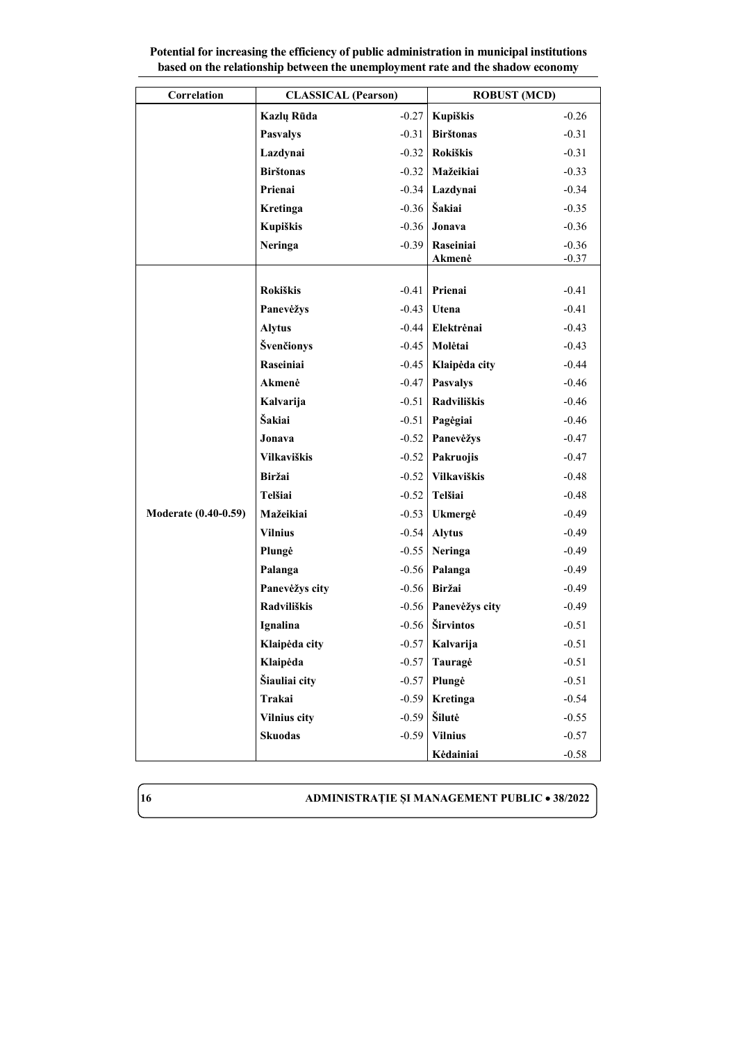| Correlation                 | <b>CLASSICAL</b> (Pearson) |         | <b>ROBUST (MCD)</b> |         |
|-----------------------------|----------------------------|---------|---------------------|---------|
|                             | Kazlų Rūda                 | $-0.27$ | Kupiškis            | $-0.26$ |
|                             | <b>Pasvalys</b>            | $-0.31$ | <b>Birštonas</b>    | $-0.31$ |
|                             | Lazdynai                   | $-0.32$ | <b>Rokiškis</b>     | $-0.31$ |
|                             | <b>Birštonas</b>           | $-0.32$ | Mažeikiai           | $-0.33$ |
|                             | Prienai                    | $-0.34$ | Lazdynai            | $-0.34$ |
|                             | Kretinga                   | $-0.36$ | Šakiai              | $-0.35$ |
|                             | Kupiškis                   | $-0.36$ | Jonava              | $-0.36$ |
|                             | <b>Neringa</b>             | $-0.39$ | Raseiniai           | $-0.36$ |
|                             |                            |         | Akmenė              | $-0.37$ |
|                             | <b>Rokiškis</b>            | $-0.41$ | Prienai             | $-0.41$ |
|                             | Panevėžys                  | $-0.43$ | Utena               | $-0.41$ |
|                             | <b>Alytus</b>              | $-0.44$ | Elektrėnai          | $-0.43$ |
|                             | Švenčionys                 | $-0.45$ | Molėtai             | $-0.43$ |
|                             | Raseiniai                  | $-0.45$ | Klaipėda city       | $-0.44$ |
|                             | Akmenė                     | $-0.47$ | <b>Pasvalys</b>     | $-0.46$ |
|                             | Kalvarija                  | $-0.51$ | Radviliškis         | $-0.46$ |
|                             | Šakiai                     | $-0.51$ | Pagėgiai            | $-0.46$ |
|                             | Jonava                     | $-0.52$ | Panevėžys           | $-0.47$ |
|                             | <b>Vilkaviškis</b>         | $-0.52$ | Pakruojis           | $-0.47$ |
|                             | Biržai                     | $-0.52$ | Vilkaviškis         | $-0.48$ |
|                             | Telšiai                    | $-0.52$ | Telšiai             | $-0.48$ |
| <b>Moderate (0.40-0.59)</b> | Mažeikiai                  | $-0.53$ | Ukmergė             | $-0.49$ |
|                             | <b>Vilnius</b>             | $-0.54$ | <b>Alytus</b>       | $-0.49$ |
|                             | Plungė                     | $-0.55$ | <b>Neringa</b>      | $-0.49$ |
|                             | Palanga                    | $-0.56$ | Palanga             | $-0.49$ |
|                             | Panevėžys city             | $-0.56$ | Biržai              | $-0.49$ |
|                             | <b>Radviliškis</b>         | $-0.56$ | Panevėžys city      | $-0.49$ |
|                             | Ignalina                   | $-0.56$ | Širvintos           | $-0.51$ |
|                             | Klaipėda city              | $-0.57$ | Kalvarija           | $-0.51$ |
|                             | Klaipėda                   | $-0.57$ | Tauragė             | $-0.51$ |
|                             | Šiauliai city              | $-0.57$ | Plungė              | $-0.51$ |
|                             | Trakai                     | $-0.59$ | Kretinga            | $-0.54$ |
|                             | <b>Vilnius city</b>        | $-0.59$ | Šilutė              | $-0.55$ |
|                             | <b>Skuodas</b>             | $-0.59$ | <b>Vilnius</b>      | $-0.57$ |
|                             |                            |         | Kėdainiai           | $-0.58$ |

**Potential for increasing the efficiency of public administration in municipal institutions based on the relationship between the unemployment rate and the shadow economy**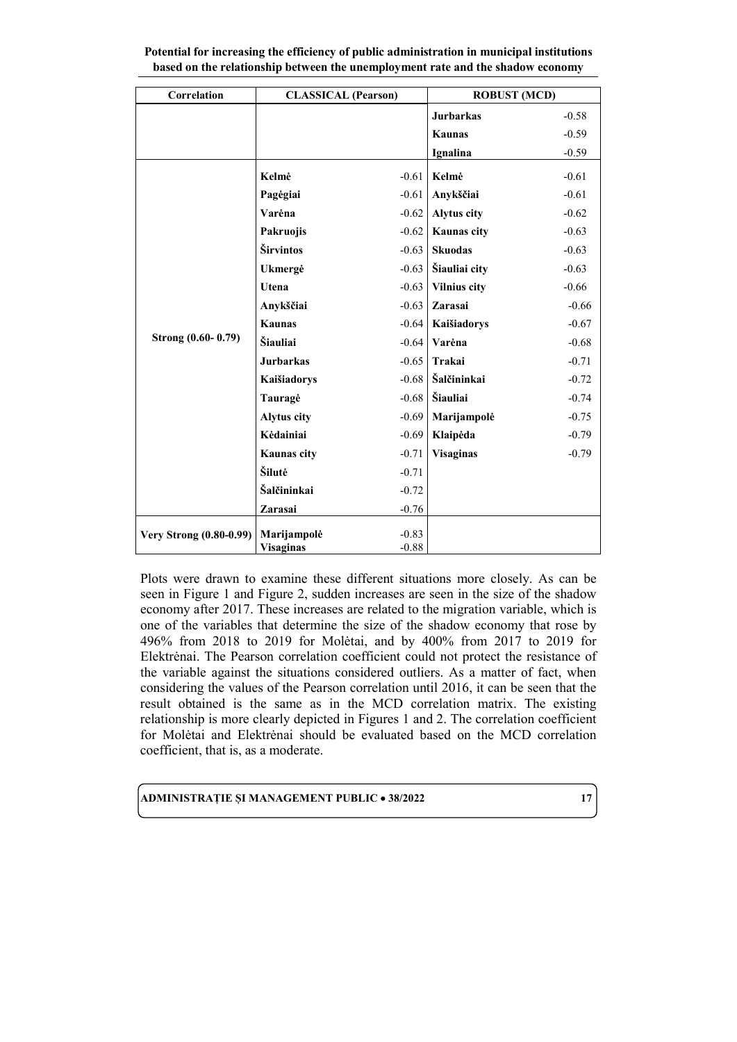| Correlation                    | <b>CLASSICAL</b> (Pearson) |         | <b>ROBUST (MCD)</b> |         |
|--------------------------------|----------------------------|---------|---------------------|---------|
|                                |                            |         | <b>Jurbarkas</b>    | $-0.58$ |
|                                |                            |         | <b>Kaunas</b>       | $-0.59$ |
|                                |                            |         | Ignalina            | $-0.59$ |
|                                | Kelmė                      | $-0.61$ | Kelmė               | $-0.61$ |
|                                | Pagėgiai                   | $-0.61$ | Anykščiai           | $-0.61$ |
|                                | Varėna                     | $-0.62$ | <b>Alytus city</b>  | $-0.62$ |
|                                |                            | $-0.62$ | Kaunas city         | $-0.63$ |
|                                | Pakruojis                  |         |                     |         |
|                                | Širvintos                  | $-0.63$ | <b>Skuodas</b>      | $-0.63$ |
|                                | Ukmergė                    | $-0.63$ | Šiauliai city       | $-0.63$ |
|                                | Utena                      | $-0.63$ | <b>Vilnius city</b> | $-0.66$ |
|                                | Anykščiai                  | $-0.63$ | Zarasai             | $-0.66$ |
|                                | <b>Kaunas</b>              | $-0.64$ | Kaišiadorys         | $-0.67$ |
| Strong (0.60-0.79)             | Šiauliai                   | $-0.64$ | Varėna              | $-0.68$ |
|                                | <b>Jurbarkas</b>           | $-0.65$ | Trakai              | $-0.71$ |
|                                | Kaišiadorys                | $-0.68$ | Šalčininkai         | $-0.72$ |
|                                | Tauragė                    | $-0.68$ | Šiauliai            | $-0.74$ |
|                                | <b>Alytus city</b>         | $-0.69$ | Marijampolė         | $-0.75$ |
|                                | Kėdainiai                  | $-0.69$ | Klaipėda            | $-0.79$ |
|                                | <b>Kaunas city</b>         | $-0.71$ | <b>Visaginas</b>    | $-0.79$ |
|                                | Šilutė                     | $-0.71$ |                     |         |
|                                | Šalčininkai                | $-0.72$ |                     |         |
|                                | Zarasai                    | $-0.76$ |                     |         |
|                                |                            |         |                     |         |
| <b>Very Strong (0.80-0.99)</b> | Marijampolė                | $-0.83$ |                     |         |
|                                | <b>Visaginas</b>           | $-0.88$ |                     |         |

**Potential for increasing the efficiency of public administration in municipal institutions based on the relationship between the unemployment rate and the shadow economy**

Plots were drawn to examine these different situations more closely. As can be seen in Figure 1 and Figure 2, sudden increases are seen in the size of the shadow economy after 2017. These increases are related to the migration variable, which is one of the variables that determine the size of the shadow economy that rose by 496% from 2018 to 2019 for Molėtai, and by 400% from 2017 to 2019 for Elektrėnai. The Pearson correlation coefficient could not protect the resistance of the variable against the situations considered outliers. As a matter of fact, when considering the values of the Pearson correlation until 2016, it can be seen that the result obtained is the same as in the MCD correlation matrix. The existing relationship is more clearly depicted in Figures 1 and 2. The correlation coefficient for Molėtai and Elektrėnai should be evaluated based on the MCD correlation coefficient, that is, as a moderate.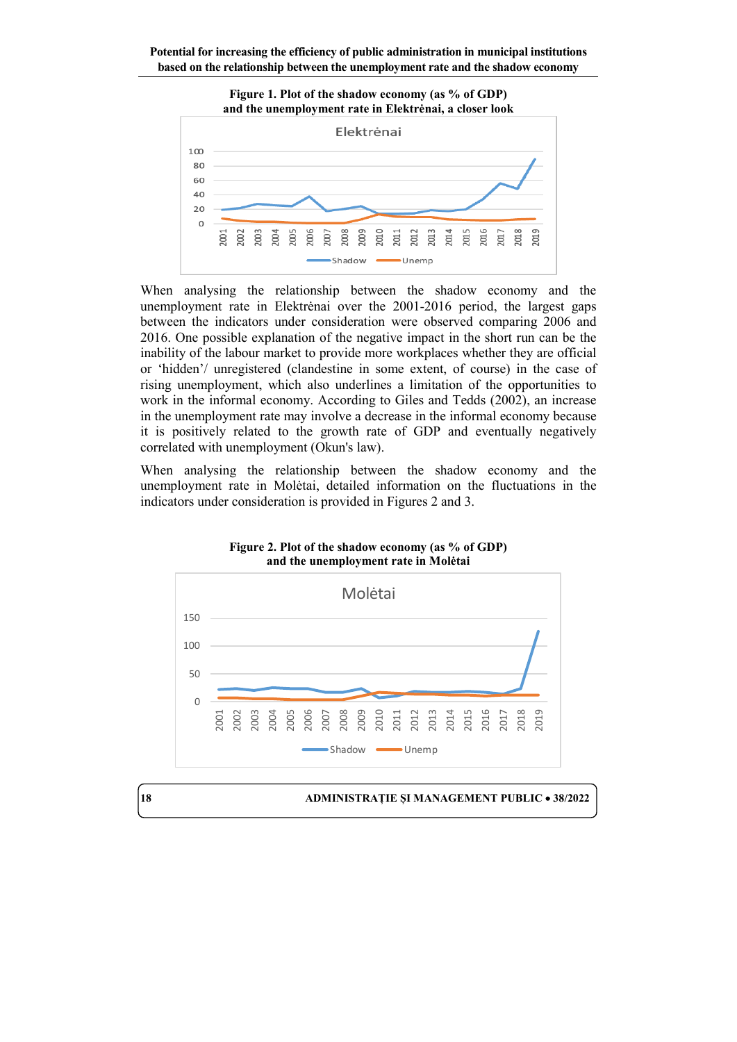

When analysing the relationship between the shadow economy and the unemployment rate in Elektrėnai over the 2001-2016 period, the largest gaps between the indicators under consideration were observed comparing 2006 and 2016. One possible explanation of the negative impact in the short run can be the inability of the labour market to provide more workplaces whether they are official or 'hidden'/ unregistered (clandestine in some extent, of course) in the case of rising unemployment, which also underlines a limitation of the opportunities to work in the informal economy. According to Giles and Tedds (2002), an increase in the unemployment rate may involve a decrease in the informal economy because it is positively related to the growth rate of GDP and eventually negatively correlated with unemployment (Okun's law).

When analysing the relationship between the shadow economy and the unemployment rate in Molėtai, detailed information on the fluctuations in the indicators under consideration is provided in Figures 2 and 3.



**Figure 2. Plot of the shadow economy (as % of GDP) and the unemployment rate in Molėtai**

**18 ADMINISTRAȚIE ȘI MANAGEMENT PUBLIC** • **38/2022**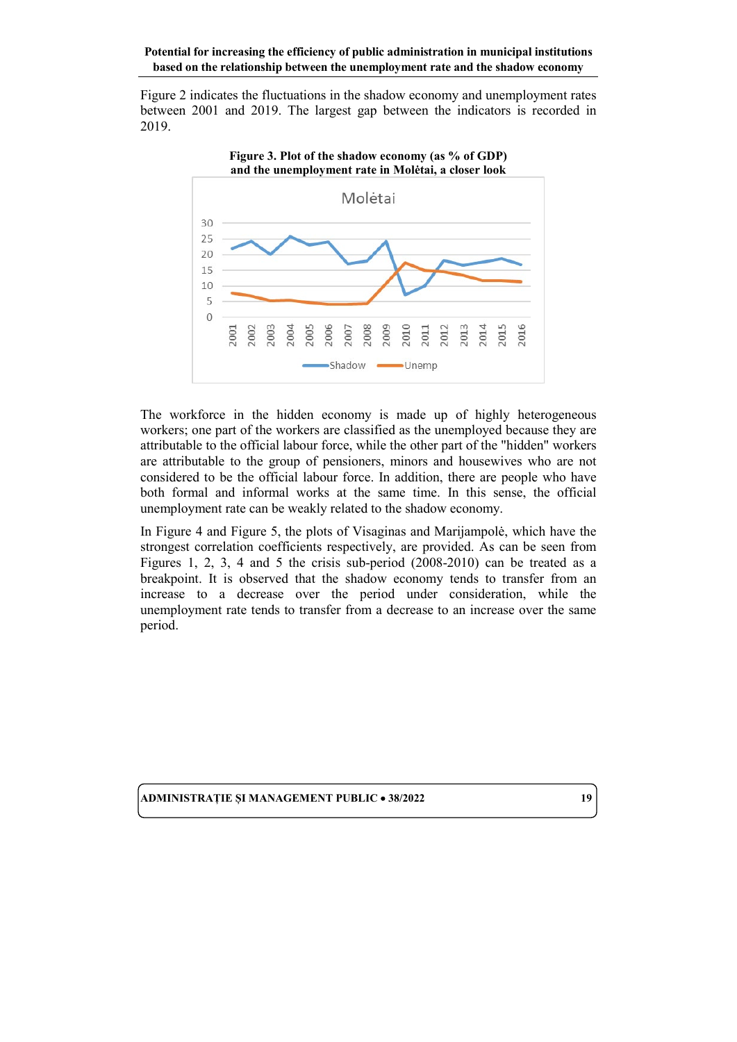Figure 2 indicates the fluctuations in the shadow economy and unemployment rates between 2001 and 2019. The largest gap between the indicators is recorded in 2019.

**Figure 3. Plot of the shadow economy (as % of GDP)** 



The workforce in the hidden economy is made up of highly heterogeneous workers; one part of the workers are classified as the unemployed because they are attributable to the official labour force, while the other part of the "hidden" workers are attributable to the group of pensioners, minors and housewives who are not considered to be the official labour force. In addition, there are people who have both formal and informal works at the same time. In this sense, the official unemployment rate can be weakly related to the shadow economy.

In Figure 4 and Figure 5, the plots of Visaginas and Marijampolė, which have the strongest correlation coefficients respectively, are provided. As can be seen from Figures 1, 2, 3, 4 and 5 the crisis sub-period (2008-2010) can be treated as a breakpoint. It is observed that the shadow economy tends to transfer from an increase to a decrease over the period under consideration, while the unemployment rate tends to transfer from a decrease to an increase over the same period.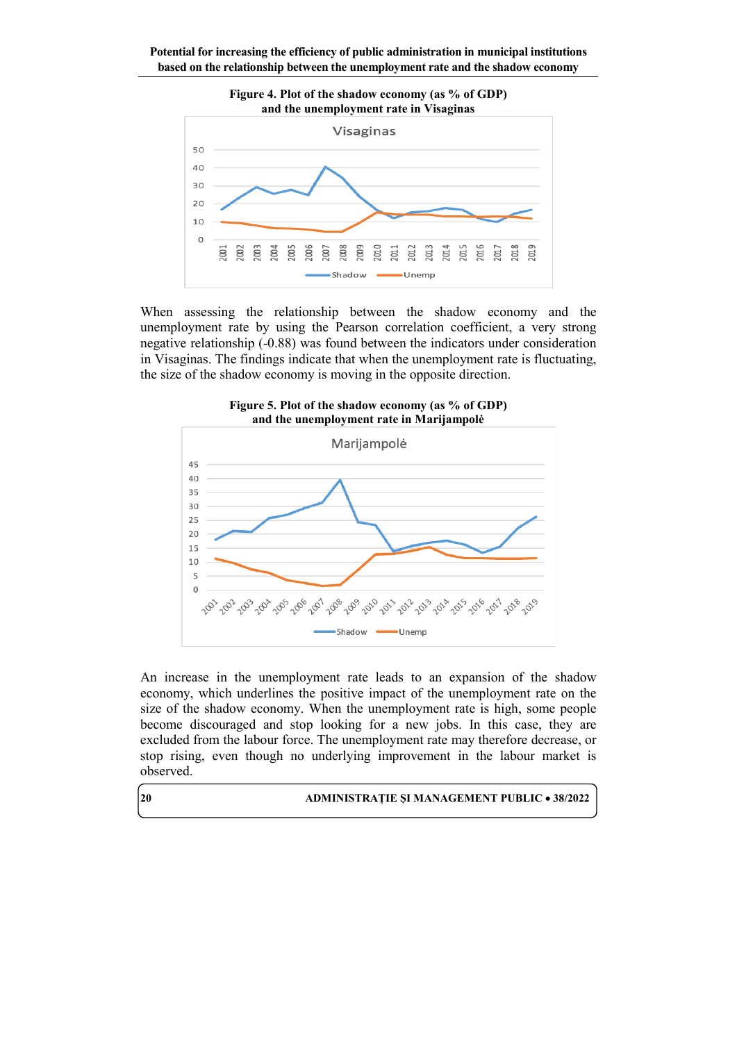

When assessing the relationship between the shadow economy and the unemployment rate by using the Pearson correlation coefficient, a very strong negative relationship (-0.88) was found between the indicators under consideration in Visaginas. The findings indicate that when the unemployment rate is fluctuating, the size of the shadow economy is moving in the opposite direction.



**Figure 5. Plot of the shadow economy (as % of GDP) and the unemployment rate in Marijampolė**

An increase in the unemployment rate leads to an expansion of the shadow economy, which underlines the positive impact of the unemployment rate on the size of the shadow economy. When the unemployment rate is high, some people become discouraged and stop looking for a new jobs. In this case, they are excluded from the labour force. The unemployment rate may therefore decrease, or stop rising, even though no underlying improvement in the labour market is observed.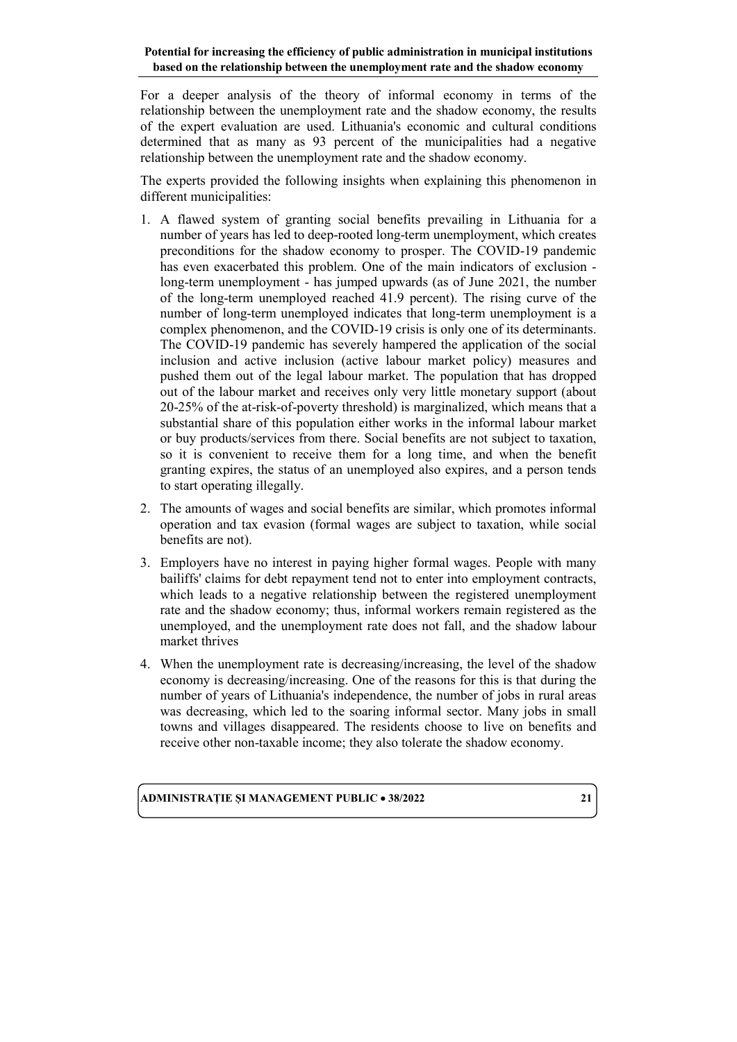For a deeper analysis of the theory of informal economy in terms of the relationship between the unemployment rate and the shadow economy, the results of the expert evaluation are used. Lithuania's economic and cultural conditions determined that as many as 93 percent of the municipalities had a negative relationship between the unemployment rate and the shadow economy.

The experts provided the following insights when explaining this phenomenon in different municipalities:

- 1. A flawed system of granting social benefits prevailing in Lithuania for a number of years has led to deep-rooted long-term unemployment, which creates preconditions for the shadow economy to prosper. The COVID-19 pandemic has even exacerbated this problem. One of the main indicators of exclusion long-term unemployment - has jumped upwards (as of June 2021, the number of the long-term unemployed reached 41.9 percent). The rising curve of the number of long-term unemployed indicates that long-term unemployment is a complex phenomenon, and the COVID-19 crisis is only one of its determinants. The COVID-19 pandemic has severely hampered the application of the social inclusion and active inclusion (active labour market policy) measures and pushed them out of the legal labour market. The population that has dropped out of the labour market and receives only very little monetary support (about 20-25% of the at-risk-of-poverty threshold) is marginalized, which means that a substantial share of this population either works in the informal labour market or buy products/services from there. Social benefits are not subject to taxation, so it is convenient to receive them for a long time, and when the benefit granting expires, the status of an unemployed also expires, and a person tends to start operating illegally.
- 2. The amounts of wages and social benefits are similar, which promotes informal operation and tax evasion (formal wages are subject to taxation, while social benefits are not).
- 3. Employers have no interest in paying higher formal wages. People with many bailiffs' claims for debt repayment tend not to enter into employment contracts, which leads to a negative relationship between the registered unemployment rate and the shadow economy; thus, informal workers remain registered as the unemployed, and the unemployment rate does not fall, and the shadow labour market thrives
- 4. When the unemployment rate is decreasing/increasing, the level of the shadow economy is decreasing/increasing. One of the reasons for this is that during the number of years of Lithuania's independence, the number of jobs in rural areas was decreasing, which led to the soaring informal sector. Many jobs in small towns and villages disappeared. The residents choose to live on benefits and receive other non-taxable income; they also tolerate the shadow economy.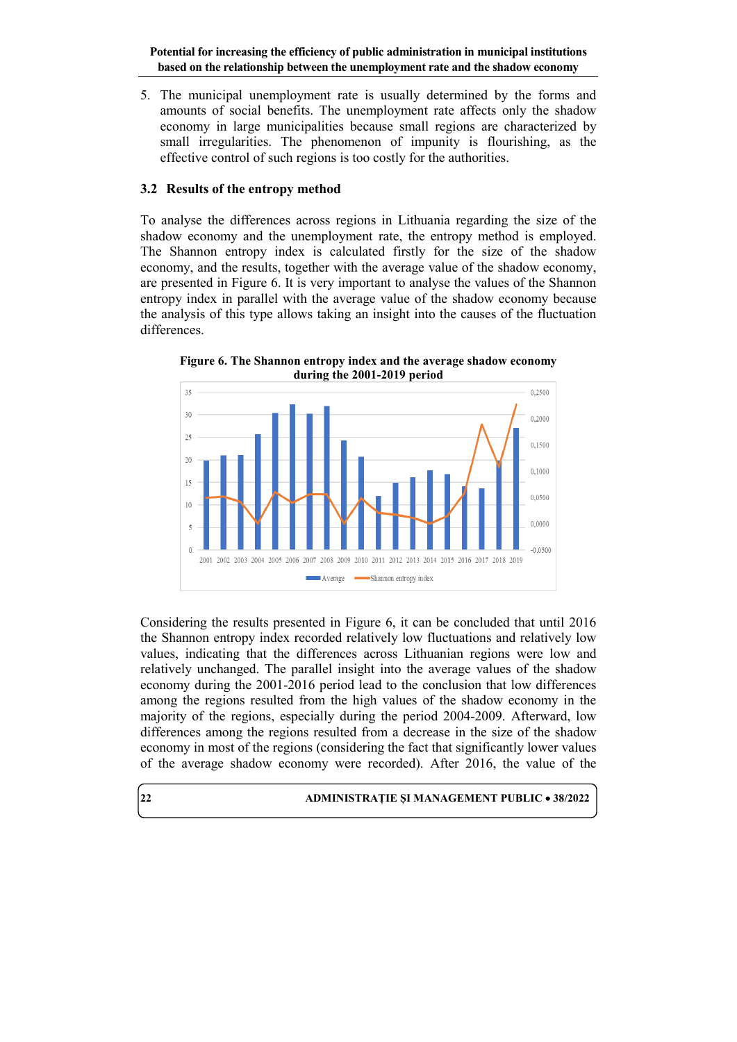5. The municipal unemployment rate is usually determined by the forms and amounts of social benefits. The unemployment rate affects only the shadow economy in large municipalities because small regions are characterized by small irregularities. The phenomenon of impunity is flourishing, as the effective control of such regions is too costly for the authorities.

### **3.2 Results of the entropy method**

To analyse the differences across regions in Lithuania regarding the size of the shadow economy and the unemployment rate, the entropy method is employed. The Shannon entropy index is calculated firstly for the size of the shadow economy, and the results, together with the average value of the shadow economy, are presented in Figure 6. It is very important to analyse the values of the Shannon entropy index in parallel with the average value of the shadow economy because the analysis of this type allows taking an insight into the causes of the fluctuation differences.

**Figure 6. The Shannon entropy index and the average shadow economy during the 2001-2019 period**



Considering the results presented in Figure 6, it can be concluded that until 2016 the Shannon entropy index recorded relatively low fluctuations and relatively low values, indicating that the differences across Lithuanian regions were low and relatively unchanged. The parallel insight into the average values of the shadow economy during the 2001-2016 period lead to the conclusion that low differences among the regions resulted from the high values of the shadow economy in the majority of the regions, especially during the period 2004-2009. Afterward, low differences among the regions resulted from a decrease in the size of the shadow economy in most of the regions (considering the fact that significantly lower values of the average shadow economy were recorded). After 2016, the value of the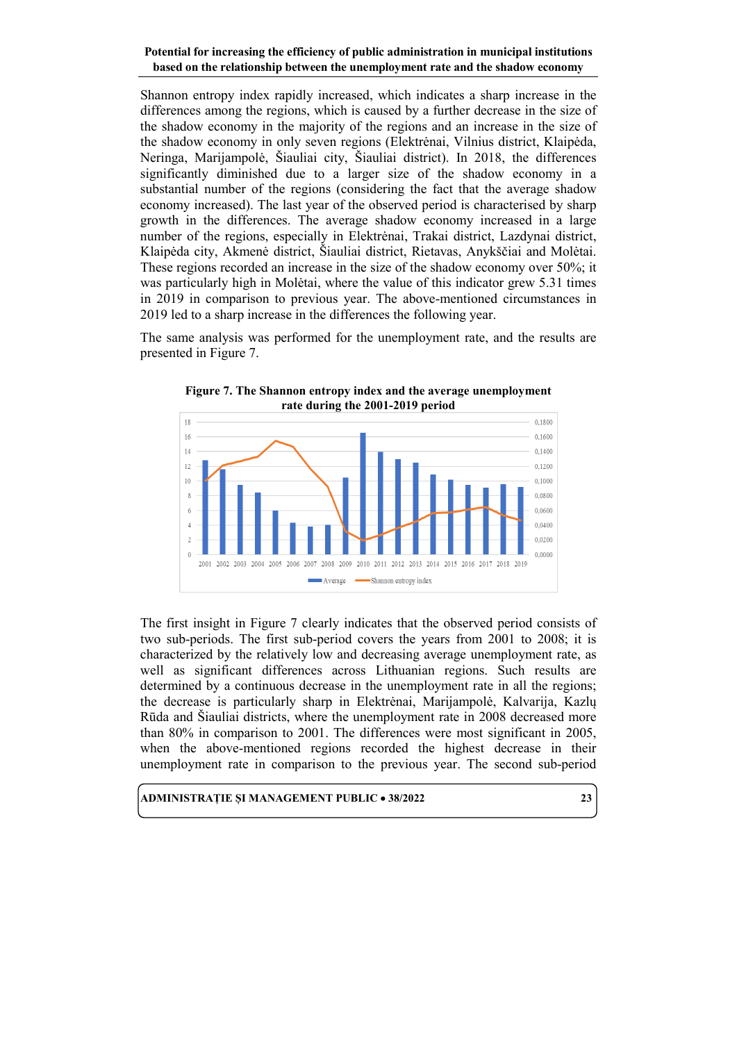Shannon entropy index rapidly increased, which indicates a sharp increase in the differences among the regions, which is caused by a further decrease in the size of the shadow economy in the majority of the regions and an increase in the size of the shadow economy in only seven regions (Elektrėnai, Vilnius district, Klaipėda, Neringa, Marijampolė, Šiauliai city, Šiauliai district). In 2018, the differences significantly diminished due to a larger size of the shadow economy in a substantial number of the regions (considering the fact that the average shadow economy increased). The last year of the observed period is characterised by sharp growth in the differences. The average shadow economy increased in a large number of the regions, especially in Elektrėnai, Trakai district, Lazdynai district, Klaipėda city, Akmenė district, Šiauliai district, Rietavas, Anykščiai and Molėtai. These regions recorded an increase in the size of the shadow economy over 50%; it was particularly high in Molėtai, where the value of this indicator grew 5.31 times in 2019 in comparison to previous year. The above-mentioned circumstances in 2019 led to a sharp increase in the differences the following year.

The same analysis was performed for the unemployment rate, and the results are presented in Figure 7.



**Figure 7. The Shannon entropy index and the average unemployment rate during the 2001-2019 period**

The first insight in Figure 7 clearly indicates that the observed period consists of two sub-periods. The first sub-period covers the years from 2001 to 2008; it is characterized by the relatively low and decreasing average unemployment rate, as well as significant differences across Lithuanian regions. Such results are determined by a continuous decrease in the unemployment rate in all the regions; the decrease is particularly sharp in Elektrėnai, Marijampolė, Kalvarija, Kazlų Rūda and Šiauliai districts, where the unemployment rate in 2008 decreased more than 80% in comparison to 2001. The differences were most significant in 2005, when the above-mentioned regions recorded the highest decrease in their unemployment rate in comparison to the previous year. The second sub-period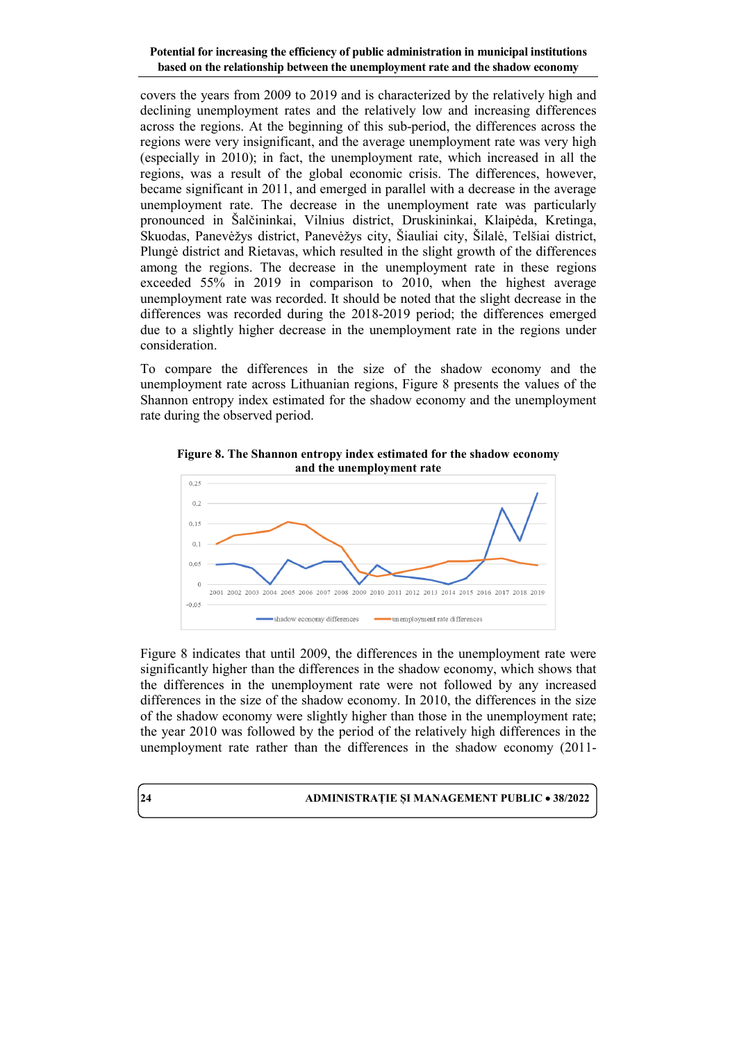covers the years from 2009 to 2019 and is characterized by the relatively high and declining unemployment rates and the relatively low and increasing differences across the regions. At the beginning of this sub-period, the differences across the regions were very insignificant, and the average unemployment rate was very high (especially in 2010); in fact, the unemployment rate, which increased in all the regions, was a result of the global economic crisis. The differences, however, became significant in 2011, and emerged in parallel with a decrease in the average unemployment rate. The decrease in the unemployment rate was particularly pronounced in Šalčininkai, Vilnius district, Druskininkai, Klaipėda, Kretinga, Skuodas, Panevėžys district, Panevėžys city, Šiauliai city, Šilalė, Telšiai district, Plungė district and Rietavas, which resulted in the slight growth of the differences among the regions. The decrease in the unemployment rate in these regions exceeded 55% in 2019 in comparison to 2010, when the highest average unemployment rate was recorded. It should be noted that the slight decrease in the differences was recorded during the 2018-2019 period; the differences emerged due to a slightly higher decrease in the unemployment rate in the regions under consideration.

To compare the differences in the size of the shadow economy and the unemployment rate across Lithuanian regions, Figure 8 presents the values of the Shannon entropy index estimated for the shadow economy and the unemployment rate during the observed period.



**Figure 8. The Shannon entropy index estimated for the shadow economy and the unemployment rate**

Figure 8 indicates that until 2009, the differences in the unemployment rate were significantly higher than the differences in the shadow economy, which shows that the differences in the unemployment rate were not followed by any increased differences in the size of the shadow economy. In 2010, the differences in the size of the shadow economy were slightly higher than those in the unemployment rate; the year 2010 was followed by the period of the relatively high differences in the unemployment rate rather than the differences in the shadow economy (2011-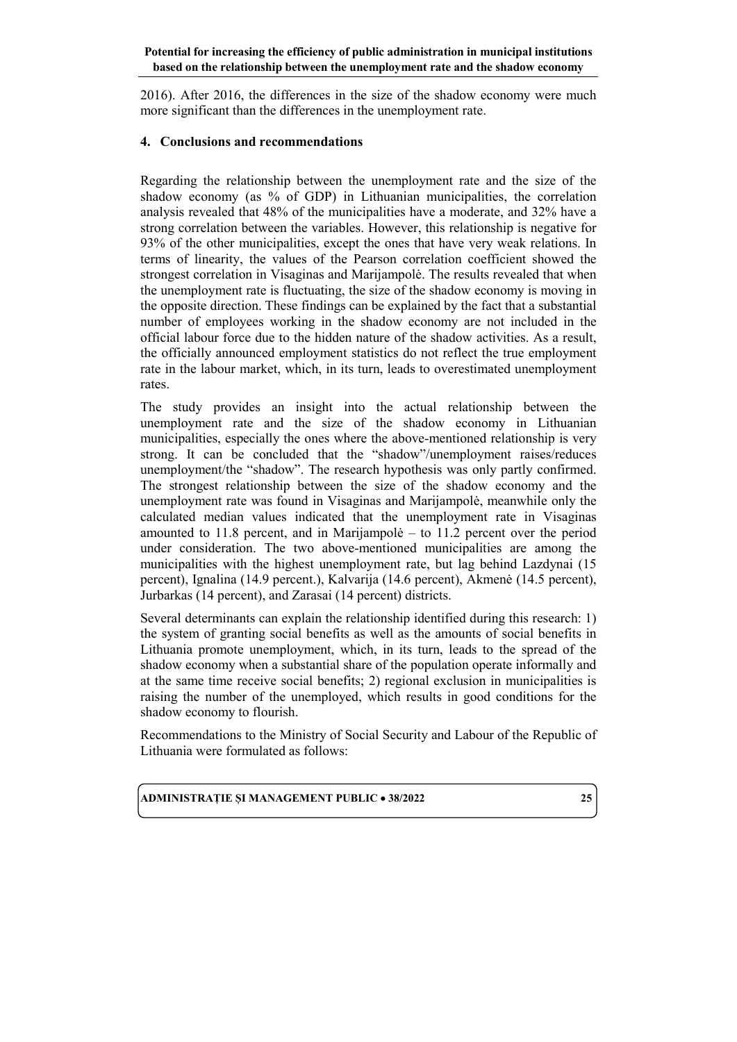2016). After 2016, the differences in the size of the shadow economy were much more significant than the differences in the unemployment rate.

### **4. Conclusions and recommendations**

Regarding the relationship between the unemployment rate and the size of the shadow economy (as % of GDP) in Lithuanian municipalities, the correlation analysis revealed that 48% of the municipalities have a moderate, and 32% have a strong correlation between the variables. However, this relationship is negative for 93% of the other municipalities, except the ones that have very weak relations. In terms of linearity, the values of the Pearson correlation coefficient showed the strongest correlation in Visaginas and Marijampolė. The results revealed that when the unemployment rate is fluctuating, the size of the shadow economy is moving in the opposite direction. These findings can be explained by the fact that a substantial number of employees working in the shadow economy are not included in the official labour force due to the hidden nature of the shadow activities. As a result, the officially announced employment statistics do not reflect the true employment rate in the labour market, which, in its turn, leads to overestimated unemployment rates.

The study provides an insight into the actual relationship between the unemployment rate and the size of the shadow economy in Lithuanian municipalities, especially the ones where the above-mentioned relationship is very strong. It can be concluded that the "shadow"/unemployment raises/reduces unemployment/the "shadow". The research hypothesis was only partly confirmed. The strongest relationship between the size of the shadow economy and the unemployment rate was found in Visaginas and Marijampolė, meanwhile only the calculated median values indicated that the unemployment rate in Visaginas amounted to 11.8 percent, and in Marijampolė – to 11.2 percent over the period under consideration. The two above-mentioned municipalities are among the municipalities with the highest unemployment rate, but lag behind Lazdynai (15 percent), Ignalina (14.9 percent.), Kalvarija (14.6 percent), Akmenė (14.5 percent), Jurbarkas (14 percent), and Zarasai (14 percent) districts.

Several determinants can explain the relationship identified during this research: 1) the system of granting social benefits as well as the amounts of social benefits in Lithuania promote unemployment, which, in its turn, leads to the spread of the shadow economy when a substantial share of the population operate informally and at the same time receive social benefits; 2) regional exclusion in municipalities is raising the number of the unemployed, which results in good conditions for the shadow economy to flourish.

Recommendations to the Ministry of Social Security and Labour of the Republic of Lithuania were formulated as follows: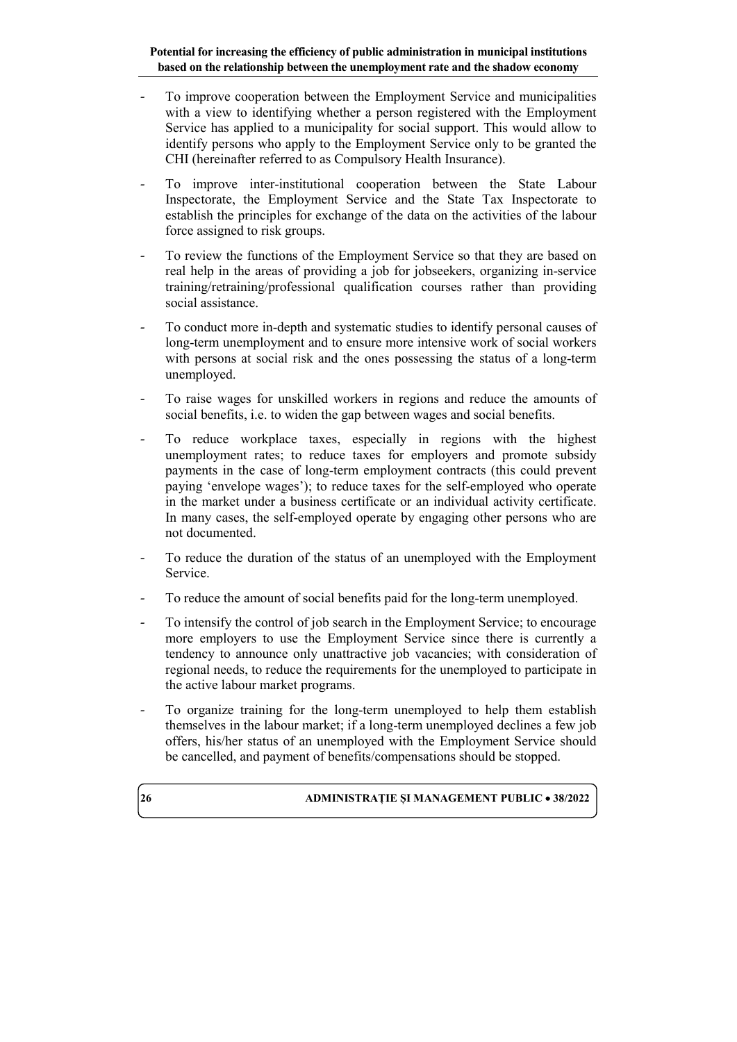- To improve cooperation between the Employment Service and municipalities with a view to identifying whether a person registered with the Employment Service has applied to a municipality for social support. This would allow to identify persons who apply to the Employment Service only to be granted the CHI (hereinafter referred to as Compulsory Health Insurance).
- To improve inter-institutional cooperation between the State Labour Inspectorate, the Employment Service and the State Tax Inspectorate to establish the principles for exchange of the data on the activities of the labour force assigned to risk groups.
- To review the functions of the Employment Service so that they are based on real help in the areas of providing a job for jobseekers, organizing in-service training/retraining/professional qualification courses rather than providing social assistance.
- To conduct more in-depth and systematic studies to identify personal causes of long-term unemployment and to ensure more intensive work of social workers with persons at social risk and the ones possessing the status of a long-term unemployed.
- To raise wages for unskilled workers in regions and reduce the amounts of social benefits, i.e. to widen the gap between wages and social benefits.
- To reduce workplace taxes, especially in regions with the highest unemployment rates; to reduce taxes for employers and promote subsidy payments in the case of long-term employment contracts (this could prevent paying 'envelope wages'); to reduce taxes for the self-employed who operate in the market under a business certificate or an individual activity certificate. In many cases, the self-employed operate by engaging other persons who are not documented.
- To reduce the duration of the status of an unemployed with the Employment Service.
- To reduce the amount of social benefits paid for the long-term unemployed.
- To intensify the control of job search in the Employment Service; to encourage more employers to use the Employment Service since there is currently a tendency to announce only unattractive job vacancies; with consideration of regional needs, to reduce the requirements for the unemployed to participate in the active labour market programs.
- To organize training for the long-term unemployed to help them establish themselves in the labour market; if a long-term unemployed declines a few job offers, his/her status of an unemployed with the Employment Service should be cancelled, and payment of benefits/compensations should be stopped.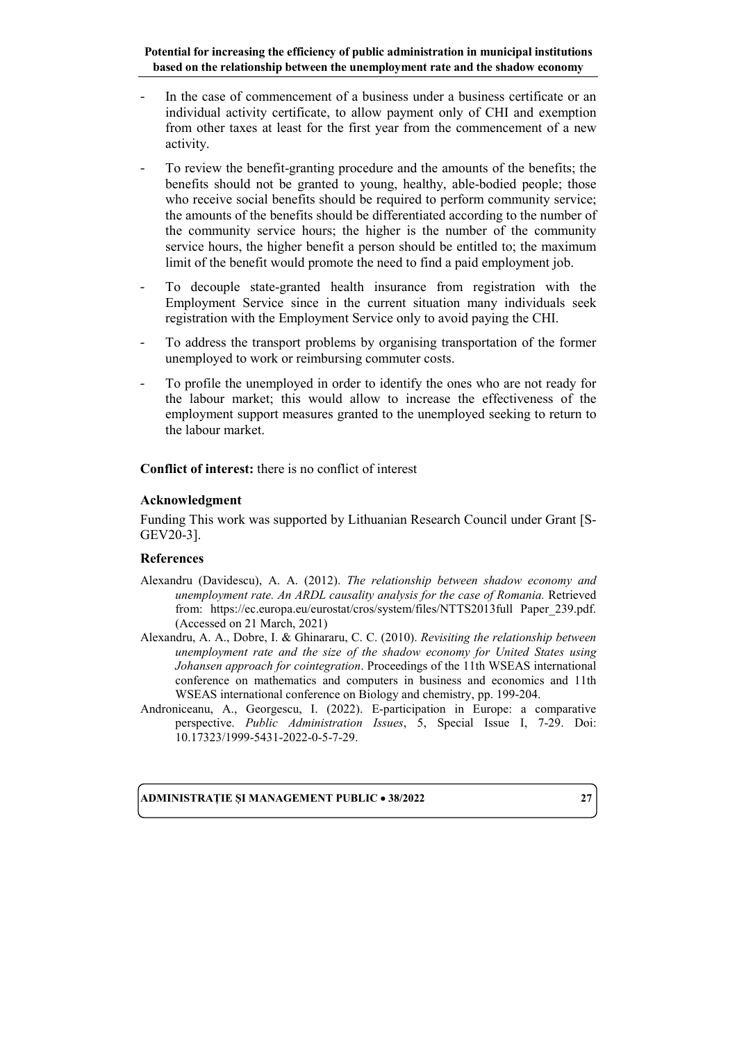- In the case of commencement of a business under a business certificate or an individual activity certificate, to allow payment only of CHI and exemption from other taxes at least for the first year from the commencement of a new activity.
- To review the benefit-granting procedure and the amounts of the benefits; the benefits should not be granted to young, healthy, able-bodied people; those who receive social benefits should be required to perform community service; the amounts of the benefits should be differentiated according to the number of the community service hours; the higher is the number of the community service hours, the higher benefit a person should be entitled to; the maximum limit of the benefit would promote the need to find a paid employment job.
- To decouple state-granted health insurance from registration with the Employment Service since in the current situation many individuals seek registration with the Employment Service only to avoid paying the CHI.
- To address the transport problems by organising transportation of the former unemployed to work or reimbursing commuter costs.
- To profile the unemployed in order to identify the ones who are not ready for the labour market; this would allow to increase the effectiveness of the employment support measures granted to the unemployed seeking to return to the labour market.

**Conflict of interest:** there is no conflict of interest

#### **Acknowledgment**

Funding This work was supported by Lithuanian Research Council under Grant [S-GEV20-3].

#### **References**

- Alexandru (Davidescu), A. A. (2012). *The relationship between shadow economy and unemployment rate. An ARDL causality analysis for the case of Romania.* Retrieved from: [https://ec.europa.eu/eurostat/cros/system/files/NTTS2013full Paper\\_239.pdf.](https://ec.europa.eu/eurostat/cros/system/files/NTTS2013full%20Paper_239.pdf)  (Accessed on 21 March, 2021)
- Alexandru, A. A., Dobre, I. & Ghinararu, C. C. (2010). *Revisiting the relationship between unemployment rate and the size of the shadow economy for United States using Johansen approach for cointegration*. [Proceedings of the 11th WSEAS international](https://dl.acm.org/doi/proceedings/10.5555/1863363)  [conference on mathematics and computers in business and economics and 11th](https://dl.acm.org/doi/proceedings/10.5555/1863363)  [WSEAS international conference on Biology and chemistry,](https://dl.acm.org/doi/proceedings/10.5555/1863363) pp. 199-204.
- Androniceanu, A., Georgescu, I. (2022). E-participation in Europe: a comparative perspective. *Public Administration Issues*, 5, Special Issue I, 7-29. Doi: 10.17323/1999-5431-2022-0-5-7-29.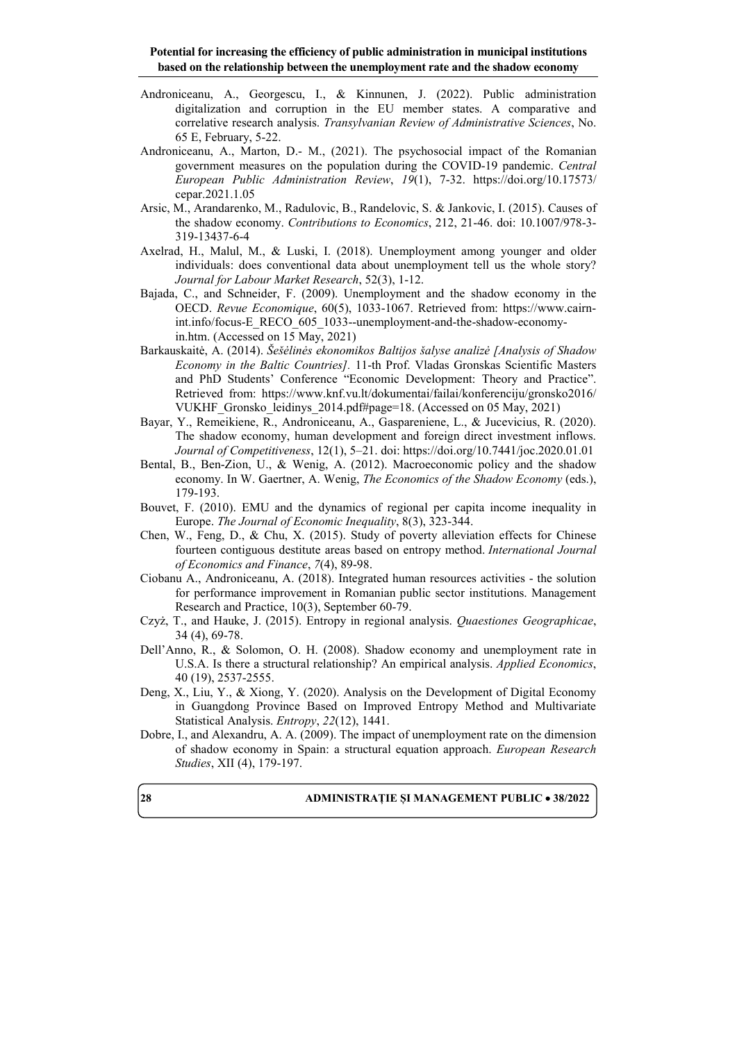- Androniceanu, A., Georgescu, I., & Kinnunen, J. (2022). Public administration digitalization and corruption in the EU member states. A comparative and correlative research analysis. *Transylvanian Review of Administrative Sciences*, No. 65 E, February, 5-22.
- Androniceanu, A., Marton, D.- M., (2021). The psychosocial impact of the Romanian government measures on the population during the COVID-19 pandemic. *Central European Public Administration Review*, *19*(1), 7-32. [https://doi.org/10.17573/](https://doi.org/10.17573/%0bcepar.2021.1.05) [cepar.2021.1.05](https://doi.org/10.17573/%0bcepar.2021.1.05)
- Arsic, M., Arandarenko, M., Radulovic, B., Randelovic, S. & Jankovic, I. (2015). Causes of the shadow economy. *Contributions to Economics*, 212, 21-46. doi: [10.1007/978-3-](https://www.researchgate.net/deref/http%3A%2F%2Fdx.doi.org%2F10.1007%2F978-3-319-13437-6-4?_sg%5B0%5D=iW9LLh11NQgO_O9yzH0FgHPY0RDagOdkSKltFrV3JVXWe2VT3EYq0mEFf4pIBmb6XI1e-CtS7GyYVa9nlYvuZKgoXw.36dHbNj46WzwUWyEJFn34287mbMXu0Bsn5kl02ozcBJXSUGtL5P0odclTCNdXlVt2LVoKx7a3bXKWNboep0SmQ) [319-13437-6-4](https://www.researchgate.net/deref/http%3A%2F%2Fdx.doi.org%2F10.1007%2F978-3-319-13437-6-4?_sg%5B0%5D=iW9LLh11NQgO_O9yzH0FgHPY0RDagOdkSKltFrV3JVXWe2VT3EYq0mEFf4pIBmb6XI1e-CtS7GyYVa9nlYvuZKgoXw.36dHbNj46WzwUWyEJFn34287mbMXu0Bsn5kl02ozcBJXSUGtL5P0odclTCNdXlVt2LVoKx7a3bXKWNboep0SmQ)
- Axelrad, H., Malul, M., & Luski, I. (2018). Unemployment among younger and older individuals: does conventional data about unemployment tell us the whole story? *Journal for Labour Market Research*, 52(3), 1-12.
- Bajada, C., and Schneider, F. (2009). Unemployment and the shadow economy in the OECD. *Revue Economique*, 60(5), 1033-1067. Retrieved from: [https://www.cairn](https://www.cairn-int.info/focus-E_RECO_605_1033--unemployment-and-the-shadow-economy-in.htm)[int.info/focus-E\\_RECO\\_605\\_1033--unemployment-and-the-shadow-economy](https://www.cairn-int.info/focus-E_RECO_605_1033--unemployment-and-the-shadow-economy-in.htm)[in.htm.](https://www.cairn-int.info/focus-E_RECO_605_1033--unemployment-and-the-shadow-economy-in.htm) (Accessed on 15 May, 2021)
- Barkauskaitė, A. (2014). *Šešėlinės ekonomikos Baltijos šalyse analizė [Analysis of Shadow Economy in the Baltic Countries].* 11-th Prof. Vladas Gronskas Scientific Masters and PhD Students' Conference "Economic Development: Theory and Practice". Retrieved from: [https://www.knf.vu.lt/dokumentai/failai/konferenciju/gronsko2016/](https://www.knf.vu.lt/dokumentai/failai/konferenciju/gronsko2016/%0bVUKHF_Gronsko_leidinys_2014.pdf#page=18) [VUKHF\\_Gronsko\\_leidinys\\_2014.pdf#page=18.](https://www.knf.vu.lt/dokumentai/failai/konferenciju/gronsko2016/%0bVUKHF_Gronsko_leidinys_2014.pdf#page=18) (Accessed on 05 May, 2021)
- Bayar, Y., Remeikiene, R., Androniceanu, A., Gaspareniene, L., & Jucevicius, R. (2020). The shadow economy, human development and foreign direct investment inflows. *Journal of Competitiveness*, 12(1), 5–21. doi:<https://doi.org/10.7441/joc.2020.01.01>
- Bental, B., Ben-Zion, U., & Wenig, A. (2012). Macroeconomic policy and the shadow economy. In W. Gaertner, A. Wenig, *The Economics of the Shadow Economy* (eds.), 179-193.
- Bouvet, F. (2010). EMU and the dynamics of regional per capita income inequality in Europe. *The Journal of Economic Inequality*, 8(3), 323-344.
- Chen, W., Feng, D., & Chu, X. (2015). Study of poverty alleviation effects for Chinese fourteen contiguous destitute areas based on entropy method. *International Journal of Economics and Finance*, *7*(4), 89-98.
- Ciobanu A., Androniceanu, A. (2018). Integrated human resources activities the solution for performance improvement in Romanian public sector institutions. Management Research and Practice, 10(3), September 60-79.
- Czyż, T., and Hauke, J. (2015). Entropy in regional analysis. *Quaestiones Geographicae*, 34 (4), 69-78.
- Dell'Anno, R., & Solomon, O. H. (2008). Shadow economy and unemployment rate in U.S.A. Is there a structural relationship? An empirical analysis. *Applied Economics*, 40 (19), 2537-2555.
- Deng, X., Liu, Y., & Xiong, Y. (2020). Analysis on the Development of Digital Economy in Guangdong Province Based on Improved Entropy Method and Multivariate Statistical Analysis. *Entropy*, *22*(12), 1441.
- Dobre, I., and Alexandru, A. A. (2009). The impact of unemployment rate on the dimension of shadow economy in Spain: a structural equation approach. *European Research Studies*, XII (4), 179-197.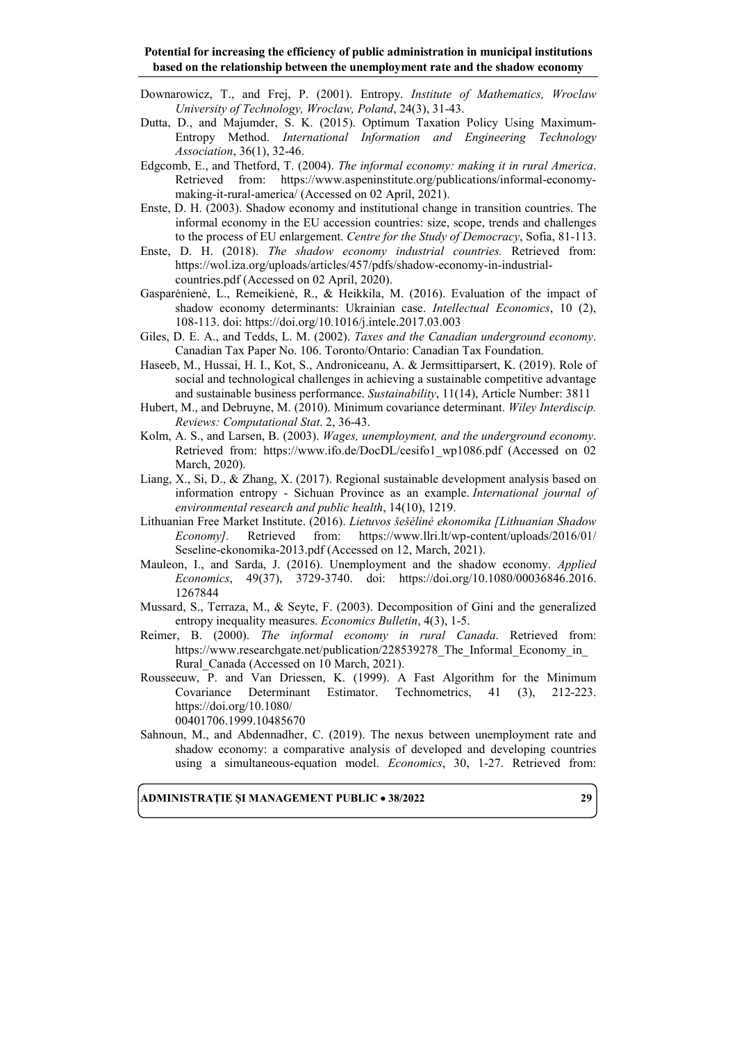- Downarowicz, T., and Frej, P. (2001). Entropy. *Institute of Mathematics, Wroclaw University of Technology, Wroclaw, Poland*, 24(3), 31-43.
- Dutta, D., and Majumder, S. K. (2015). Optimum Taxation Policy Using Maximum-Entropy Method. *International Information and Engineering Technology Association*, 36(1), 32-46.
- Edgcomb, E., and Thetford, T. (2004). *The informal economy: making it in rural America*. Retrieved from: [https://www.aspeninstitute.org/publications/informal-economy](https://www.aspeninstitute.org/publications/informal-economy-making-it-rural-america/)[making-it-rural-america/](https://www.aspeninstitute.org/publications/informal-economy-making-it-rural-america/) (Accessed on 02 April, 2021).
- Enste, D. H. (2003). Shadow economy and institutional change in transition countries. The informal economy in the EU accession countries: size, scope, trends and challenges to the process of EU enlargement. *Centre for the Study of Democracy*, Sofia, 81-113.
- Enste, D. H. (2018). *The shadow economy industrial countries.* Retrieved from: [https://wol.iza.org/uploads/articles/457/pdfs/shadow-economy-in-industrial](https://wol.iza.org/uploads/articles/457/pdfs/shadow-economy-in-industrial-countries.pdf)[countries.pdf](https://wol.iza.org/uploads/articles/457/pdfs/shadow-economy-in-industrial-countries.pdf) (Accessed on 02 April, 2020).
- Gasparėnienė, L., Remeikienė, R., & Heikkila, M. (2016). Evaluation of the impact of shadow economy determinants: Ukrainian case. *Intellectual Economics*, 10 (2), 108-113. doi:<https://doi.org/10.1016/j.intele.2017.03.003>
- Giles, D. E. A., and Tedds, L. M. (2002). *Taxes and the Canadian underground economy*. Canadian Tax Paper No. 106. Toronto/Ontario: Canadian Tax Foundation.
- Haseeb, M., Hussai, H. I., Kot, S., [Androniceanu, A.](http://apps.webofknowledge.com.am.e-nformation.ro/OneClickSearch.do?product=WOS&search_mode=OneClickSearch&excludeEventConfig=ExcludeIfFromFullRecPage&colName=WOS&SID=D4QRmbEtd7X5C2KoxMQ&field=AU&value=Androniceanu,%20A) & Jermsittiparsert, K. (2019). Role of social and technological challenges in achieving a sustainable competitive advantage and sustainable business performance. *Sustainability*, 11(14), Article Number: 3811
- Hubert, M., and Debruyne, M. (2010). Minimum covariance determinant. *Wiley Interdiscip. Reviews: Computational Stat*. 2, 36-43.
- Kolm, A. S., and Larsen, B. (2003). *Wages, unemployment, and the underground economy*. Retrieved from: [https://www.ifo.de/DocDL/cesifo1\\_wp1086.pdf](https://www.ifo.de/DocDL/cesifo1_wp1086.pdf) (Accessed on 02 March, 2020).
- Liang, X., Si, D., & Zhang, X. (2017). Regional sustainable development analysis based on information entropy - Sichuan Province as an example. *International journal of environmental research and public health*, 14(10), 1219.
- Lithuanian Free Market Institute. (2016). *Lietuvos šešėlinė ekonomika [Lithuanian Shadow Economy].* Retrieved from: [https://www.llri.lt/wp-content/uploads/2016/01/](https://www.llri.lt/wp-content/uploads/2016/01/%0bSeseline-ekonomika-2013.pdf) [Seseline-ekonomika-2013.pdf](https://www.llri.lt/wp-content/uploads/2016/01/%0bSeseline-ekonomika-2013.pdf) (Accessed on 12, March, 2021).
- Mauleon, I., and Sarda, J. (2016). Unemployment and the shadow economy. *Applied Economics*, 49(37), 3729-3740. doi: [https://doi.org/10.1080/00036846.2016.](https://doi.org/10.1080/00036846.2016.%0b1267844) [1267844](https://doi.org/10.1080/00036846.2016.%0b1267844)
- Mussard, S., Terraza, M., & Seyte, F. (2003). [Decomposition of Gini and the generalized](https://ideas.repec.org/a/ebl/ecbull/eb-03d30001.html)  [entropy inequality measures.](https://ideas.repec.org/a/ebl/ecbull/eb-03d30001.html) *[Economics Bulletin](https://ideas.repec.org/s/ebl/ecbull.html)*, 4(3), 1-5.
- Reimer, B. (2000). *The informal economy in rural Canada*. Retrieved from: [https://www.researchgate.net/publication/228539278\\_The\\_Informal\\_Economy\\_in\\_](https://www.researchgate.net/publication/228539278_The_Informal_Economy_in_Rural_Canada) Rural Canada (Accessed on 10 March, 2021).
- Rousseeuw, P. and Van Driessen, K. (1999). A Fast Algorithm for the Minimum Covariance Determinant Estimator. Technometrics, 41 (3), 212-223. [https://doi.org/10.1080/](https://doi.org/10.1080/%0b00401706.1999.10485670) [00401706.1999.10485670](https://doi.org/10.1080/%0b00401706.1999.10485670)
- Sahnoun, M., and Abdennadher, C. (2019). The nexus between unemployment rate and shadow economy: a comparative analysis of developed and developing countries using a simultaneous-equation model. *Economics*, 30, 1-27. Retrieved from: